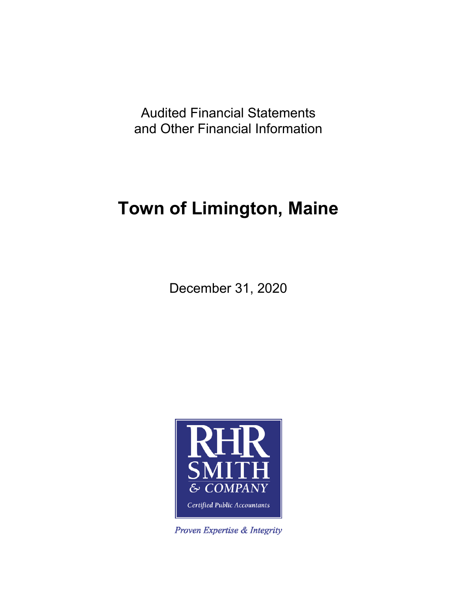Audited Financial Statements and Other Financial Information

# **Town of Limington, Maine**

December 31, 2020



Proven Expertise & Integrity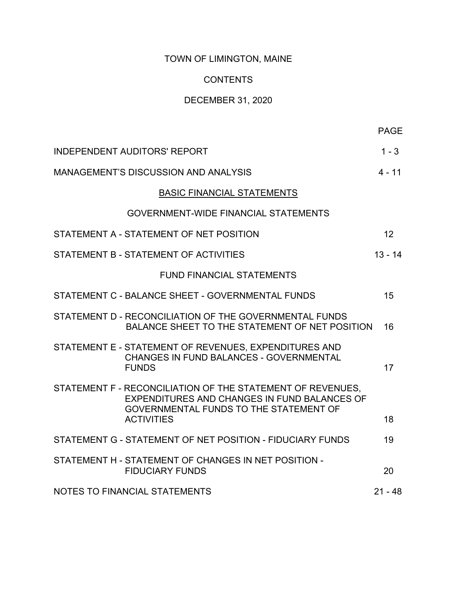# **CONTENTS**

# DECEMBER 31, 2020

|                                                                                                                                                                                  | <b>PAGE</b>     |
|----------------------------------------------------------------------------------------------------------------------------------------------------------------------------------|-----------------|
| <b>INDEPENDENT AUDITORS' REPORT</b>                                                                                                                                              | $1 - 3$         |
| <b>MANAGEMENT'S DISCUSSION AND ANALYSIS</b>                                                                                                                                      | 4 - 11          |
| <b>BASIC FINANCIAL STATEMENTS</b>                                                                                                                                                |                 |
| <b>GOVERNMENT-WIDE FINANCIAL STATEMENTS</b>                                                                                                                                      |                 |
| STATEMENT A - STATEMENT OF NET POSITION                                                                                                                                          | 12 <sup>2</sup> |
| STATEMENT B - STATEMENT OF ACTIVITIES                                                                                                                                            | $13 - 14$       |
| <b>FUND FINANCIAL STATEMENTS</b>                                                                                                                                                 |                 |
| STATEMENT C - BALANCE SHEET - GOVERNMENTAL FUNDS                                                                                                                                 | 15              |
| STATEMENT D - RECONCILIATION OF THE GOVERNMENTAL FUNDS<br>BALANCE SHEET TO THE STATEMENT OF NET POSITION                                                                         | 16              |
| STATEMENT E - STATEMENT OF REVENUES, EXPENDITURES AND<br>CHANGES IN FUND BALANCES - GOVERNMENTAL<br><b>FUNDS</b>                                                                 | 17              |
| STATEMENT F - RECONCILIATION OF THE STATEMENT OF REVENUES.<br><b>EXPENDITURES AND CHANGES IN FUND BALANCES OF</b><br>GOVERNMENTAL FUNDS TO THE STATEMENT OF<br><b>ACTIVITIES</b> | 18              |
| STATEMENT G - STATEMENT OF NET POSITION - FIDUCIARY FUNDS                                                                                                                        | 19              |
| STATEMENT H - STATEMENT OF CHANGES IN NET POSITION -<br><b>FIDUCIARY FUNDS</b>                                                                                                   | 20              |
| <b>NOTES TO FINANCIAL STATEMENTS</b>                                                                                                                                             | $21 - 48$       |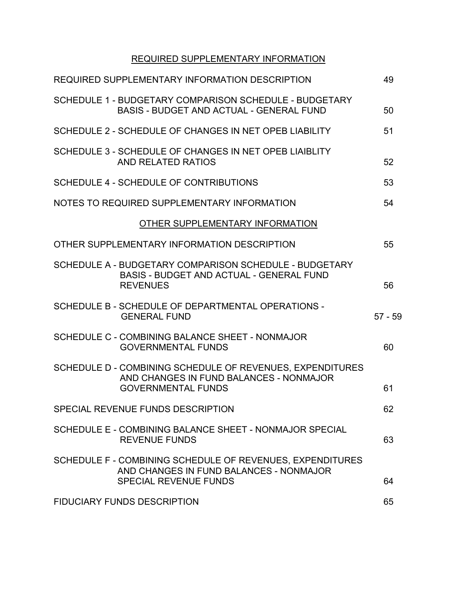## REQUIRED SUPPLEMENTARY INFORMATION

| REQUIRED SUPPLEMENTARY INFORMATION DESCRIPTION                                                                                       | 49        |
|--------------------------------------------------------------------------------------------------------------------------------------|-----------|
| SCHEDULE 1 - BUDGETARY COMPARISON SCHEDULE - BUDGETARY<br><b>BASIS - BUDGET AND ACTUAL - GENERAL FUND</b>                            | 50        |
| SCHEDULE 2 - SCHEDULE OF CHANGES IN NET OPEB LIABILITY                                                                               | 51        |
| SCHEDULE 3 - SCHEDULE OF CHANGES IN NET OPEB LIAIBLITY<br>AND RELATED RATIOS                                                         | 52        |
| SCHEDULE 4 - SCHEDULE OF CONTRIBUTIONS                                                                                               | 53        |
| NOTES TO REQUIRED SUPPLEMENTARY INFORMATION                                                                                          | 54        |
| OTHER SUPPLEMENTARY INFORMATION                                                                                                      |           |
| OTHER SUPPLEMENTARY INFORMATION DESCRIPTION                                                                                          | 55        |
| SCHEDULE A - BUDGETARY COMPARISON SCHEDULE - BUDGETARY<br><b>BASIS - BUDGET AND ACTUAL - GENERAL FUND</b><br><b>REVENUES</b>         | 56        |
| SCHEDULE B - SCHEDULE OF DEPARTMENTAL OPERATIONS -<br><b>GENERAL FUND</b>                                                            | $57 - 59$ |
| SCHEDULE C - COMBINING BALANCE SHEET - NONMAJOR<br><b>GOVERNMENTAL FUNDS</b>                                                         | 60        |
| SCHEDULE D - COMBINING SCHEDULE OF REVENUES, EXPENDITURES<br>AND CHANGES IN FUND BALANCES - NONMAJOR<br><b>GOVERNMENTAL FUNDS</b>    | 61        |
| SPECIAL REVENUE FUNDS DESCRIPTION                                                                                                    | 62        |
| SCHEDULE E - COMBINING BALANCE SHEET - NONMAJOR SPECIAL<br><b>REVENUE FUNDS</b>                                                      | 63        |
| SCHEDULE F - COMBINING SCHEDULE OF REVENUES, EXPENDITURES<br>AND CHANGES IN FUND BALANCES - NONMAJOR<br><b>SPECIAL REVENUE FUNDS</b> | 64        |
| <b>FIDUCIARY FUNDS DESCRIPTION</b>                                                                                                   | 65        |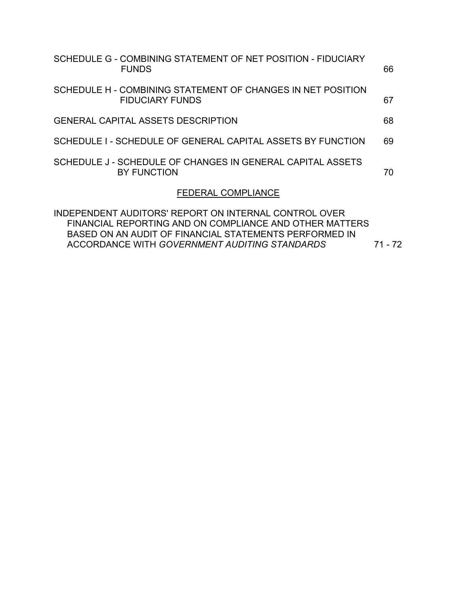| SCHEDULE G - COMBINING STATEMENT OF NET POSITION - FIDUCIARY<br><b>FUNDS</b>                                     | 66 |
|------------------------------------------------------------------------------------------------------------------|----|
| SCHEDULE H - COMBINING STATEMENT OF CHANGES IN NET POSITION<br>FIDUCIARY FUNDS                                   | 67 |
| <b>GENERAL CAPITAL ASSETS DESCRIPTION</b>                                                                        | 68 |
| SCHEDULE I - SCHEDULE OF GENERAL CAPITAL ASSETS BY FUNCTION                                                      | 69 |
| SCHEDULE J - SCHEDULE OF CHANGES IN GENERAL CAPITAL ASSETS<br><b>BY FUNCTION</b>                                 | 70 |
| <b>FEDERAL COMPLIANCE</b>                                                                                        |    |
| INDEPENDENT AUDITORS' REPORT ON INTERNAL CONTROL OVER<br>FINANCIAL REPORTING AND ON COMPLIANCE AND OTHER MATTERS |    |

BASED ON AN AUDIT OF FINANCIAL STATEMENTS PERFORMED IN ACCORDANCE WITH *GOVERNMENT AUDITING STANDARDS* 71 - 72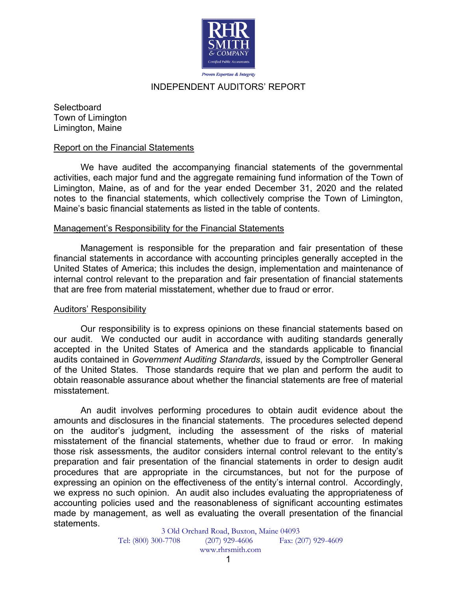

Proven Expertise & Integrity

#### INDEPENDENT AUDITORS' REPORT

**Selectboard** Town of Limington Limington, Maine

#### Report on the Financial Statements

 We have audited the accompanying financial statements of the governmental activities, each major fund and the aggregate remaining fund information of the Town of Limington, Maine, as of and for the year ended December 31, 2020 and the related notes to the financial statements, which collectively comprise the Town of Limington, Maine's basic financial statements as listed in the table of contents.

#### Management's Responsibility for the Financial Statements

Management is responsible for the preparation and fair presentation of these financial statements in accordance with accounting principles generally accepted in the United States of America; this includes the design, implementation and maintenance of internal control relevant to the preparation and fair presentation of financial statements that are free from material misstatement, whether due to fraud or error.

#### Auditors' Responsibility

 Our responsibility is to express opinions on these financial statements based on our audit. We conducted our audit in accordance with auditing standards generally accepted in the United States of America and the standards applicable to financial audits contained in *Government Auditing Standards*, issued by the Comptroller General of the United States. Those standards require that we plan and perform the audit to obtain reasonable assurance about whether the financial statements are free of material misstatement.

An audit involves performing procedures to obtain audit evidence about the amounts and disclosures in the financial statements. The procedures selected depend on the auditor's judgment, including the assessment of the risks of material misstatement of the financial statements, whether due to fraud or error. In making those risk assessments, the auditor considers internal control relevant to the entity's preparation and fair presentation of the financial statements in order to design audit procedures that are appropriate in the circumstances, but not for the purpose of expressing an opinion on the effectiveness of the entity's internal control. Accordingly, we express no such opinion. An audit also includes evaluating the appropriateness of accounting policies used and the reasonableness of significant accounting estimates made by management, as well as evaluating the overall presentation of the financial statements.

3 Old Orchard Road, Buxton, Maine 04093 Tel: (800) 300-7708 (207) 929-4606 Fax: (207) 929-4609 www.rhrsmith.com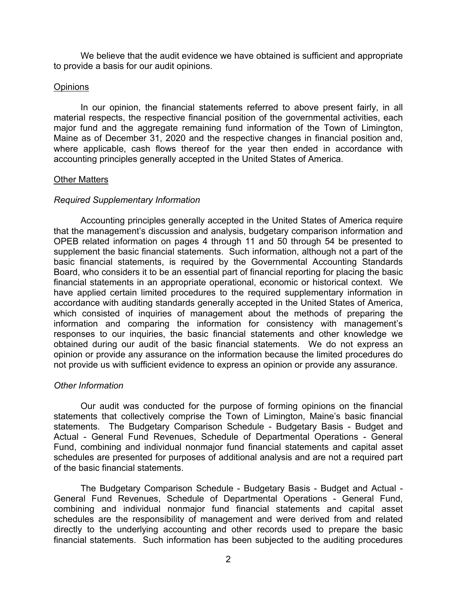We believe that the audit evidence we have obtained is sufficient and appropriate to provide a basis for our audit opinions.

#### **Opinions**

In our opinion, the financial statements referred to above present fairly, in all material respects, the respective financial position of the governmental activities, each major fund and the aggregate remaining fund information of the Town of Limington, Maine as of December 31, 2020 and the respective changes in financial position and, where applicable, cash flows thereof for the year then ended in accordance with accounting principles generally accepted in the United States of America.

#### Other Matters

#### *Required Supplementary Information*

Accounting principles generally accepted in the United States of America require that the management's discussion and analysis, budgetary comparison information and OPEB related information on pages 4 through 11 and 50 through 54 be presented to supplement the basic financial statements. Such information, although not a part of the basic financial statements, is required by the Governmental Accounting Standards Board, who considers it to be an essential part of financial reporting for placing the basic financial statements in an appropriate operational, economic or historical context. We have applied certain limited procedures to the required supplementary information in accordance with auditing standards generally accepted in the United States of America, which consisted of inquiries of management about the methods of preparing the information and comparing the information for consistency with management's responses to our inquiries, the basic financial statements and other knowledge we obtained during our audit of the basic financial statements. We do not express an opinion or provide any assurance on the information because the limited procedures do not provide us with sufficient evidence to express an opinion or provide any assurance.

#### *Other Information*

Our audit was conducted for the purpose of forming opinions on the financial statements that collectively comprise the Town of Limington, Maine's basic financial statements. The Budgetary Comparison Schedule - Budgetary Basis - Budget and Actual - General Fund Revenues, Schedule of Departmental Operations - General Fund, combining and individual nonmajor fund financial statements and capital asset schedules are presented for purposes of additional analysis and are not a required part of the basic financial statements.

The Budgetary Comparison Schedule - Budgetary Basis - Budget and Actual - General Fund Revenues, Schedule of Departmental Operations - General Fund, combining and individual nonmajor fund financial statements and capital asset schedules are the responsibility of management and were derived from and related directly to the underlying accounting and other records used to prepare the basic financial statements. Such information has been subjected to the auditing procedures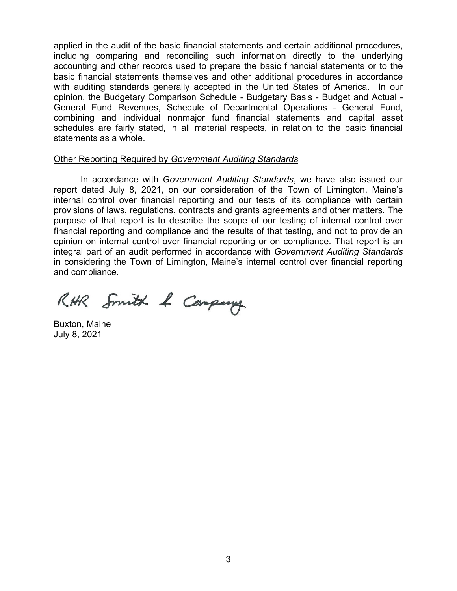applied in the audit of the basic financial statements and certain additional procedures, including comparing and reconciling such information directly to the underlying accounting and other records used to prepare the basic financial statements or to the basic financial statements themselves and other additional procedures in accordance with auditing standards generally accepted in the United States of America. In our opinion, the Budgetary Comparison Schedule - Budgetary Basis - Budget and Actual - General Fund Revenues, Schedule of Departmental Operations - General Fund, combining and individual nonmajor fund financial statements and capital asset schedules are fairly stated, in all material respects, in relation to the basic financial statements as a whole.

#### Other Reporting Required by *Government Auditing Standards*

In accordance with *Government Auditing Standards*, we have also issued our report dated July 8, 2021, on our consideration of the Town of Limington, Maine's internal control over financial reporting and our tests of its compliance with certain provisions of laws, regulations, contracts and grants agreements and other matters. The purpose of that report is to describe the scope of our testing of internal control over financial reporting and compliance and the results of that testing, and not to provide an opinion on internal control over financial reporting or on compliance. That report is an integral part of an audit performed in accordance with *Government Auditing Standards*  in considering the Town of Limington, Maine's internal control over financial reporting and compliance.

RHR Smith & Company

Buxton, Maine July 8, 2021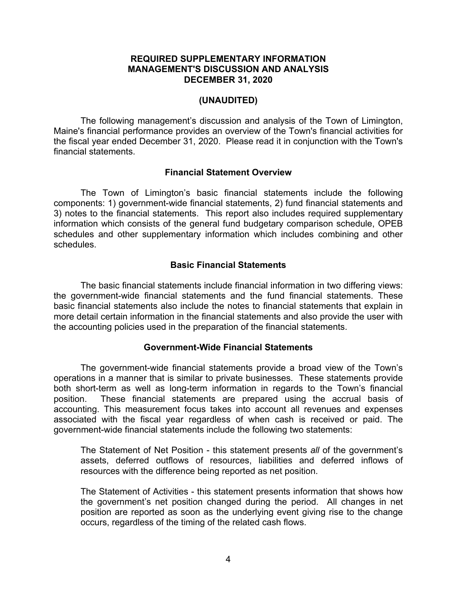#### **REQUIRED SUPPLEMENTARY INFORMATION MANAGEMENT'S DISCUSSION AND ANALYSIS DECEMBER 31, 2020**

#### **(UNAUDITED)**

 The following management's discussion and analysis of the Town of Limington, Maine's financial performance provides an overview of the Town's financial activities for the fiscal year ended December 31, 2020. Please read it in conjunction with the Town's financial statements.

#### **Financial Statement Overview**

 The Town of Limington's basic financial statements include the following components: 1) government-wide financial statements, 2) fund financial statements and 3) notes to the financial statements. This report also includes required supplementary information which consists of the general fund budgetary comparison schedule, OPEB schedules and other supplementary information which includes combining and other schedules.

#### **Basic Financial Statements**

 The basic financial statements include financial information in two differing views: the government-wide financial statements and the fund financial statements. These basic financial statements also include the notes to financial statements that explain in more detail certain information in the financial statements and also provide the user with the accounting policies used in the preparation of the financial statements.

#### **Government-Wide Financial Statements**

 The government-wide financial statements provide a broad view of the Town's operations in a manner that is similar to private businesses. These statements provide both short-term as well as long-term information in regards to the Town's financial position. These financial statements are prepared using the accrual basis of accounting. This measurement focus takes into account all revenues and expenses associated with the fiscal year regardless of when cash is received or paid. The government-wide financial statements include the following two statements:

The Statement of Net Position - this statement presents *all* of the government's assets, deferred outflows of resources, liabilities and deferred inflows of resources with the difference being reported as net position.

The Statement of Activities - this statement presents information that shows how the government's net position changed during the period. All changes in net position are reported as soon as the underlying event giving rise to the change occurs, regardless of the timing of the related cash flows.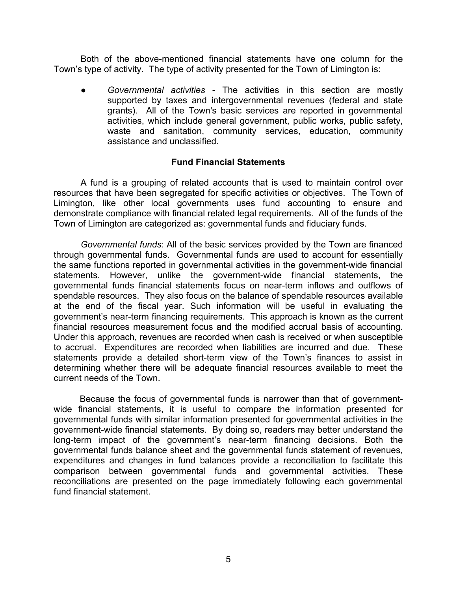Both of the above-mentioned financial statements have one column for the Town's type of activity. The type of activity presented for the Town of Limington is:

● *Governmental activities* - The activities in this section are mostly supported by taxes and intergovernmental revenues (federal and state grants). All of the Town's basic services are reported in governmental activities, which include general government, public works, public safety, waste and sanitation, community services, education, community assistance and unclassified.

#### **Fund Financial Statements**

A fund is a grouping of related accounts that is used to maintain control over resources that have been segregated for specific activities or objectives. The Town of Limington, like other local governments uses fund accounting to ensure and demonstrate compliance with financial related legal requirements. All of the funds of the Town of Limington are categorized as: governmental funds and fiduciary funds.

*Governmental funds*: All of the basic services provided by the Town are financed through governmental funds. Governmental funds are used to account for essentially the same functions reported in governmental activities in the government-wide financial statements. However, unlike the government-wide financial statements, the governmental funds financial statements focus on near-term inflows and outflows of spendable resources. They also focus on the balance of spendable resources available at the end of the fiscal year. Such information will be useful in evaluating the government's near-term financing requirements. This approach is known as the current financial resources measurement focus and the modified accrual basis of accounting. Under this approach, revenues are recorded when cash is received or when susceptible to accrual. Expenditures are recorded when liabilities are incurred and due. These statements provide a detailed short-term view of the Town's finances to assist in determining whether there will be adequate financial resources available to meet the current needs of the Town.

 Because the focus of governmental funds is narrower than that of governmentwide financial statements, it is useful to compare the information presented for governmental funds with similar information presented for governmental activities in the government-wide financial statements. By doing so, readers may better understand the long-term impact of the government's near-term financing decisions. Both the governmental funds balance sheet and the governmental funds statement of revenues, expenditures and changes in fund balances provide a reconciliation to facilitate this comparison between governmental funds and governmental activities. These reconciliations are presented on the page immediately following each governmental fund financial statement.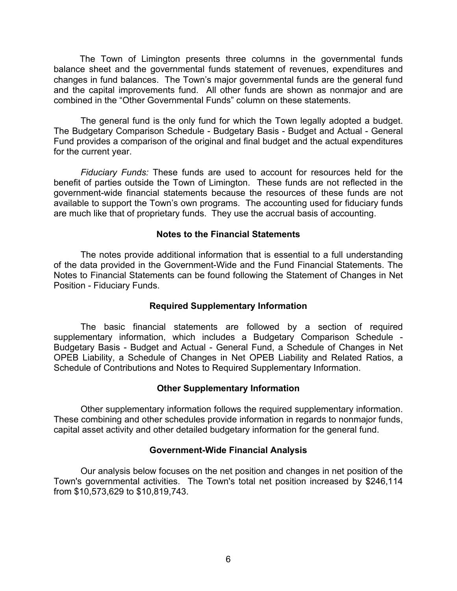The Town of Limington presents three columns in the governmental funds balance sheet and the governmental funds statement of revenues, expenditures and changes in fund balances. The Town's major governmental funds are the general fund and the capital improvements fund. All other funds are shown as nonmajor and are combined in the "Other Governmental Funds" column on these statements.

 The general fund is the only fund for which the Town legally adopted a budget. The Budgetary Comparison Schedule - Budgetary Basis - Budget and Actual - General Fund provides a comparison of the original and final budget and the actual expenditures for the current year.

*Fiduciary Funds:* These funds are used to account for resources held for the benefit of parties outside the Town of Limington. These funds are not reflected in the government-wide financial statements because the resources of these funds are not available to support the Town's own programs. The accounting used for fiduciary funds are much like that of proprietary funds. They use the accrual basis of accounting.

#### **Notes to the Financial Statements**

The notes provide additional information that is essential to a full understanding of the data provided in the Government-Wide and the Fund Financial Statements. The Notes to Financial Statements can be found following the Statement of Changes in Net Position - Fiduciary Funds.

#### **Required Supplementary Information**

 The basic financial statements are followed by a section of required supplementary information, which includes a Budgetary Comparison Schedule - Budgetary Basis - Budget and Actual - General Fund, a Schedule of Changes in Net OPEB Liability, a Schedule of Changes in Net OPEB Liability and Related Ratios, a Schedule of Contributions and Notes to Required Supplementary Information.

#### **Other Supplementary Information**

 Other supplementary information follows the required supplementary information. These combining and other schedules provide information in regards to nonmajor funds, capital asset activity and other detailed budgetary information for the general fund.

#### **Government-Wide Financial Analysis**

Our analysis below focuses on the net position and changes in net position of the Town's governmental activities. The Town's total net position increased by \$246,114 from \$10,573,629 to \$10,819,743.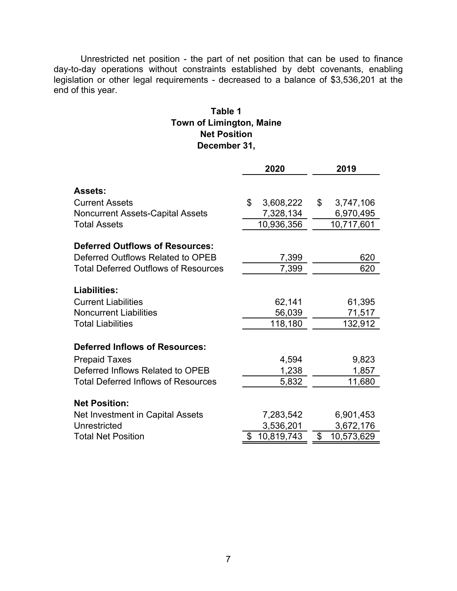Unrestricted net position - the part of net position that can be used to finance day-to-day operations without constraints established by debt covenants, enabling legislation or other legal requirements - decreased to a balance of \$3,536,201 at the end of this year.

## **Table 1 Town of Limington, Maine December 31, Net Position**

|                                             | 2020            | 2019             |
|---------------------------------------------|-----------------|------------------|
|                                             |                 |                  |
| <b>Assets:</b>                              |                 |                  |
| <b>Current Assets</b>                       | \$<br>3,608,222 | \$<br>3,747,106  |
| <b>Noncurrent Assets-Capital Assets</b>     | 7,328,134       | 6,970,495        |
| <b>Total Assets</b>                         | 10,936,356      | 10,717,601       |
|                                             |                 |                  |
| <b>Deferred Outflows of Resources:</b>      |                 |                  |
| Deferred Outflows Related to OPEB           | 7,399           | 620              |
| <b>Total Deferred Outflows of Resources</b> | 7,399           | 620              |
|                                             |                 |                  |
| Liabilities:                                |                 |                  |
| <b>Current Liabilities</b>                  | 62,141          | 61,395           |
| <b>Noncurrent Liabilities</b>               | 56,039          | 71,517           |
| <b>Total Liabilities</b>                    | 118,180         | 132,912          |
|                                             |                 |                  |
| <b>Deferred Inflows of Resources:</b>       |                 |                  |
| <b>Prepaid Taxes</b>                        | 4,594           | 9,823            |
| Deferred Inflows Related to OPEB            | 1,238           | 1,857            |
| <b>Total Deferred Inflows of Resources</b>  | 5,832           | 11,680           |
|                                             |                 |                  |
| <b>Net Position:</b>                        |                 |                  |
| Net Investment in Capital Assets            | 7,283,542       | 6,901,453        |
| Unrestricted                                | 3,536,201       | 3,672,176        |
| <b>Total Net Position</b>                   | 10,819,743      | \$<br>10,573,629 |
|                                             |                 |                  |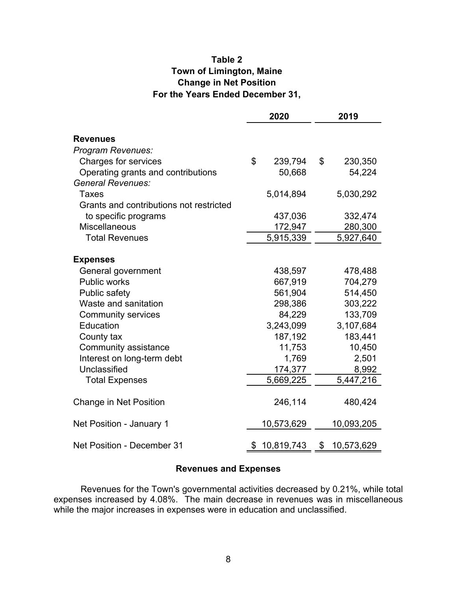## **Table 2 Town of Limington, Maine Change in Net Position For the Years Ended December 31,**

|                                         | 2020 |            |    | 2019       |  |  |
|-----------------------------------------|------|------------|----|------------|--|--|
|                                         |      |            |    |            |  |  |
| <b>Revenues</b>                         |      |            |    |            |  |  |
| Program Revenues:                       |      |            |    |            |  |  |
| Charges for services                    | \$   | 239,794    | \$ | 230,350    |  |  |
| Operating grants and contributions      |      | 50,668     |    | 54,224     |  |  |
| <b>General Revenues:</b>                |      |            |    |            |  |  |
| <b>Taxes</b>                            |      | 5,014,894  |    | 5,030,292  |  |  |
| Grants and contributions not restricted |      |            |    |            |  |  |
| to specific programs                    |      | 437,036    |    | 332,474    |  |  |
| <b>Miscellaneous</b>                    |      | 172,947    |    | 280,300    |  |  |
| <b>Total Revenues</b>                   |      | 5,915,339  |    | 5,927,640  |  |  |
|                                         |      |            |    |            |  |  |
| <b>Expenses</b>                         |      |            |    |            |  |  |
| General government                      |      | 438,597    |    | 478,488    |  |  |
| <b>Public works</b>                     |      | 667,919    |    | 704,279    |  |  |
| Public safety                           |      | 561,904    |    | 514,450    |  |  |
| Waste and sanitation                    |      | 298,386    |    | 303,222    |  |  |
| <b>Community services</b>               |      | 84,229     |    | 133,709    |  |  |
| Education                               |      | 3,243,099  |    | 3,107,684  |  |  |
| County tax                              |      | 187,192    |    | 183,441    |  |  |
| <b>Community assistance</b>             |      | 11,753     |    | 10,450     |  |  |
| Interest on long-term debt              |      | 1,769      |    | 2,501      |  |  |
| Unclassified                            |      | 174,377    |    | 8,992      |  |  |
| <b>Total Expenses</b>                   |      | 5,669,225  |    | 5,447,216  |  |  |
|                                         |      |            |    |            |  |  |
| <b>Change in Net Position</b>           |      | 246,114    |    | 480,424    |  |  |
|                                         |      |            |    |            |  |  |
| Net Position - January 1                |      | 10,573,629 |    | 10,093,205 |  |  |
| Net Position - December 31              |      |            |    |            |  |  |
|                                         |      | 10,819,743 | \$ | 10,573,629 |  |  |

## **Revenues and Expenses**

Revenues for the Town's governmental activities decreased by 0.21%, while total expenses increased by 4.08%. The main decrease in revenues was in miscellaneous while the major increases in expenses were in education and unclassified.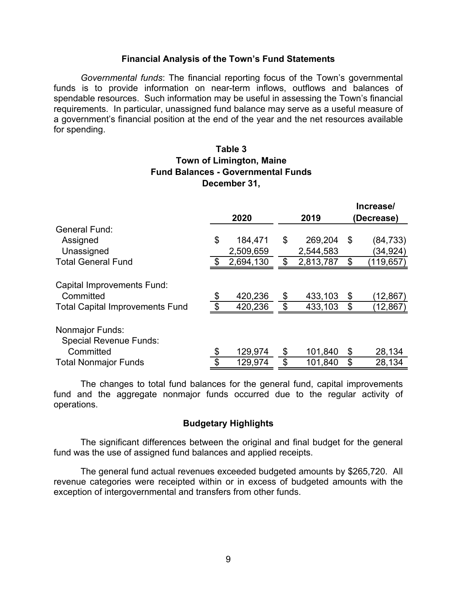#### **Financial Analysis of the Town's Fund Statements**

*Governmental funds*: The financial reporting focus of the Town's governmental funds is to provide information on near-term inflows, outflows and balances of spendable resources. Such information may be useful in assessing the Town's financial requirements. In particular, unassigned fund balance may serve as a useful measure of a government's financial position at the end of the year and the net resources available for spending.

## **Table 3 Town of Limington, Maine Fund Balances - Governmental Funds December 31,**

|                                                                      |                       |           |                 |     | Increase/  |
|----------------------------------------------------------------------|-----------------------|-----------|-----------------|-----|------------|
|                                                                      |                       | 2020      | 2019            |     | (Decrease) |
| <b>General Fund:</b>                                                 |                       |           |                 |     |            |
| Assigned                                                             | \$                    | 184,471   | \$<br>269,204   | -\$ | (84, 733)  |
| Unassigned                                                           |                       | 2,509,659 | 2,544,583       |     | (34, 924)  |
| <b>Total General Fund</b>                                            |                       | 2,694,130 | \$<br>2,813,787 | \$  | (119, 657) |
| <b>Capital Improvements Fund:</b><br>Committed                       | $\frac{1}{2}$         | 420,236   | \$<br>433,103   | \$  | (12, 867)  |
| <b>Total Capital Improvements Fund</b>                               | $\boldsymbol{\theta}$ | 420,236   | \$<br>433,103   | \$  | (12, 867)  |
| <b>Nonmajor Funds:</b><br><b>Special Revenue Funds:</b><br>Committed | \$                    | 129,974   | \$<br>101,840   | \$  | 28,134     |
| <b>Total Nonmajor Funds</b>                                          | \$                    | 129,974   | \$<br>101,840   | \$  | 28,134     |
|                                                                      |                       |           |                 |     |            |

The changes to total fund balances for the general fund, capital improvements fund and the aggregate nonmajor funds occurred due to the regular activity of operations.

#### **Budgetary Highlights**

The significant differences between the original and final budget for the general fund was the use of assigned fund balances and applied receipts.

The general fund actual revenues exceeded budgeted amounts by \$265,720. All revenue categories were receipted within or in excess of budgeted amounts with the exception of intergovernmental and transfers from other funds.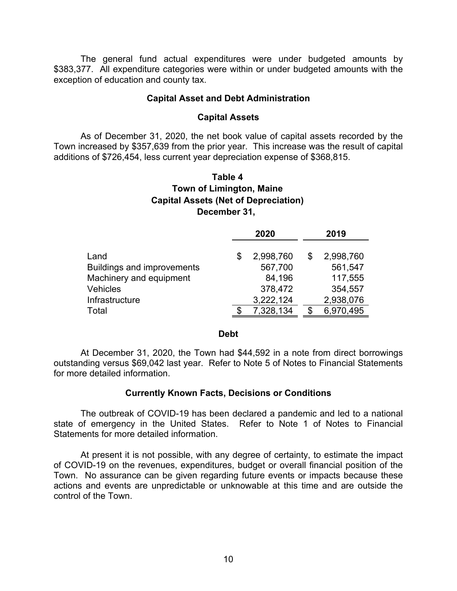The general fund actual expenditures were under budgeted amounts by \$383,377. All expenditure categories were within or under budgeted amounts with the exception of education and county tax.

#### **Capital Asset and Debt Administration**

#### **Capital Assets**

 As of December 31, 2020, the net book value of capital assets recorded by the Town increased by \$357,639 from the prior year. This increase was the result of capital additions of \$726,454, less current year depreciation expense of \$368,815.

## **Table 4 Town of Limington, Maine Capital Assets (Net of Depreciation) December 31,**

|                                   |   | 2020      | 2019            |
|-----------------------------------|---|-----------|-----------------|
| Land                              | S | 2,998,760 | \$<br>2,998,760 |
| <b>Buildings and improvements</b> |   | 567,700   | 561,547         |
| Machinery and equipment           |   | 84,196    | 117,555         |
| <b>Vehicles</b>                   |   | 378,472   | 354,557         |
| Infrastructure                    |   | 3,222,124 | 2,938,076       |
| Total                             |   | 7,328,134 | 6,970,495       |

#### **Debt**

 At December 31, 2020, the Town had \$44,592 in a note from direct borrowings outstanding versus \$69,042 last year. Refer to Note 5 of Notes to Financial Statements for more detailed information.

#### **Currently Known Facts, Decisions or Conditions**

The outbreak of COVID-19 has been declared a pandemic and led to a national state of emergency in the United States. Refer to Note 1 of Notes to Financial Statements for more detailed information.

At present it is not possible, with any degree of certainty, to estimate the impact of COVID-19 on the revenues, expenditures, budget or overall financial position of the Town. No assurance can be given regarding future events or impacts because these actions and events are unpredictable or unknowable at this time and are outside the control of the Town.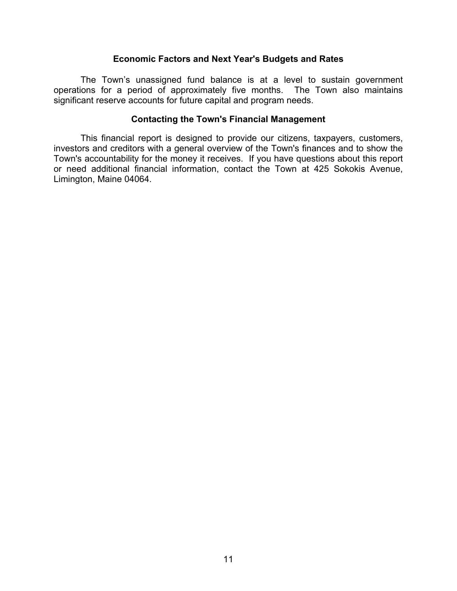#### **Economic Factors and Next Year's Budgets and Rates**

The Town's unassigned fund balance is at a level to sustain government operations for a period of approximately five months. The Town also maintains significant reserve accounts for future capital and program needs.

#### **Contacting the Town's Financial Management**

 This financial report is designed to provide our citizens, taxpayers, customers, investors and creditors with a general overview of the Town's finances and to show the Town's accountability for the money it receives. If you have questions about this report or need additional financial information, contact the Town at 425 Sokokis Avenue, Limington, Maine 04064.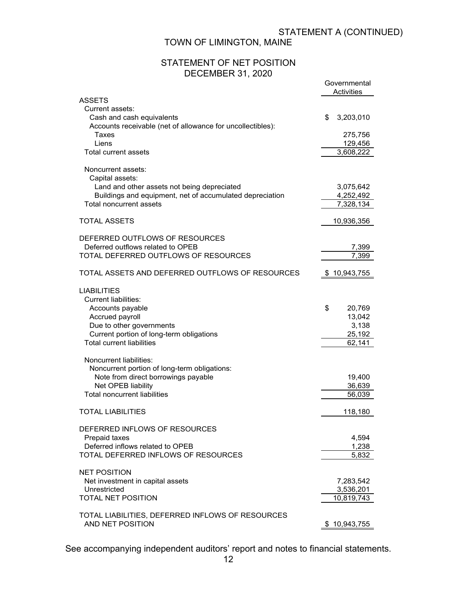STATEMENT A (CONTINUED)

## TOWN OF LIMINGTON, MAINE

## STATEMENT OF NET POSITION DECEMBER 31, 2020

|                                                                                                                                                  | Governmental<br>Activities |
|--------------------------------------------------------------------------------------------------------------------------------------------------|----------------------------|
| ASSETS                                                                                                                                           |                            |
| Current assets:<br>Cash and cash equivalents<br>Accounts receivable (net of allowance for uncollectibles):                                       | \$<br>3,203,010            |
| Taxes                                                                                                                                            | 275,756                    |
| Liens<br><b>Total current assets</b>                                                                                                             | 129,456                    |
|                                                                                                                                                  | 3,608,222                  |
| Noncurrent assets:<br>Capital assets:<br>Land and other assets not being depreciated<br>Buildings and equipment, net of accumulated depreciation | 3,075,642<br>4,252,492     |
| <b>Total noncurrent assets</b>                                                                                                                   | 7,328,134                  |
| <b>TOTAL ASSETS</b>                                                                                                                              | 10,936,356                 |
| DEFERRED OUTFLOWS OF RESOURCES                                                                                                                   |                            |
| Deferred outflows related to OPEB                                                                                                                | 7,399                      |
| TOTAL DEFERRED OUTFLOWS OF RESOURCES                                                                                                             | 7,399                      |
| TOTAL ASSETS AND DEFERRED OUTFLOWS OF RESOURCES                                                                                                  | \$10,943,755               |
| <b>LIABILITIES</b><br><b>Current liabilities:</b><br>Accounts payable                                                                            | \$<br>20,769               |
| Accrued payroll                                                                                                                                  | 13,042                     |
| Due to other governments                                                                                                                         | 3,138                      |
| Current portion of long-term obligations                                                                                                         | 25,192                     |
| <b>Total current liabilities</b>                                                                                                                 | 62,141                     |
| Noncurrent liabilities:<br>Noncurrent portion of long-term obligations:                                                                          |                            |
| Note from direct borrowings payable<br>Net OPEB liability                                                                                        | 19,400                     |
| <b>Total noncurrent liabilities</b>                                                                                                              | 36,639<br>56,039           |
| <b>TOTAL LIABILITIES</b>                                                                                                                         | <u>118,180</u>             |
|                                                                                                                                                  |                            |
| DEFERRED INFLOWS OF RESOURCES<br>Prepaid taxes                                                                                                   | 4,594                      |
| Deferred inflows related to OPEB                                                                                                                 | 1,238                      |
| TOTAL DEFERRED INFLOWS OF RESOURCES                                                                                                              | 5,832                      |
| <b>NET POSITION</b>                                                                                                                              |                            |
| Net investment in capital assets<br>Unrestricted                                                                                                 | 7,283,542<br>3,536,201     |
| <b>TOTAL NET POSITION</b>                                                                                                                        | 10,819,743                 |
| TOTAL LIABILITIES, DEFERRED INFLOWS OF RESOURCES                                                                                                 |                            |
| AND NET POSITION                                                                                                                                 | \$10,943,755               |

See accompanying independent auditors' report and notes to financial statements.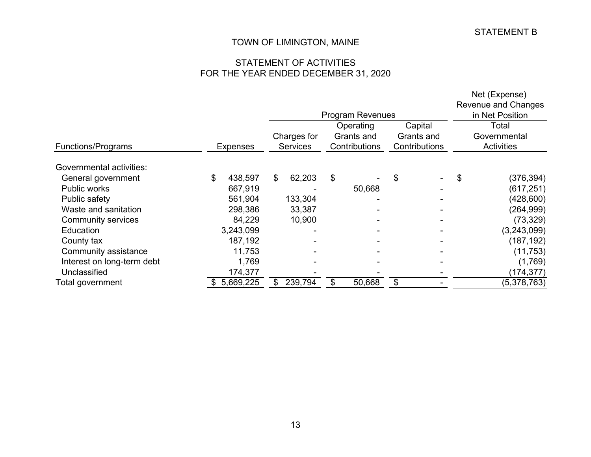#### STATEMENT OF ACTIVITIES FOR THE YEAR ENDED DECEMBER 31, 2020

|                            |                 |    |                 | Net (Expense)<br>Revenue and Changes<br>in Net Position |            |         |            |       |              |
|----------------------------|-----------------|----|-----------------|---------------------------------------------------------|------------|---------|------------|-------|--------------|
|                            |                 |    |                 | <b>Program Revenues</b><br>Operating                    |            | Capital |            | Total |              |
|                            |                 |    | Charges for     |                                                         | Grants and |         | Grants and |       | Governmental |
| <b>Functions/Programs</b>  | <b>Expenses</b> |    | <b>Services</b> | Contributions<br>Contributions                          |            |         | Activities |       |              |
| Governmental activities:   |                 |    |                 |                                                         |            |         |            |       |              |
| General government         | \$<br>438,597   | \$ | 62,203          | \$                                                      |            | \$      |            | \$    | (376, 394)   |
| Public works               | 667,919         |    |                 |                                                         | 50,668     |         |            |       | (617, 251)   |
| Public safety              | 561,904         |    | 133,304         |                                                         |            |         |            |       | (428, 600)   |
| Waste and sanitation       | 298,386         |    | 33,387          |                                                         |            |         |            |       | (264, 999)   |
| <b>Community services</b>  | 84,229          |    | 10,900          |                                                         |            |         |            |       | (73, 329)    |
| Education                  | 3,243,099       |    |                 |                                                         |            |         |            |       | (3,243,099)  |
| County tax                 | 187,192         |    |                 |                                                         |            |         |            |       | (187, 192)   |
| Community assistance       | 11,753          |    |                 |                                                         |            |         |            |       | (11, 753)    |
| Interest on long-term debt | 1,769           |    |                 |                                                         |            |         |            |       | (1,769)      |
| Unclassified               | 174,377         |    |                 |                                                         |            |         |            |       | (174, 377)   |
| Total government           | 5,669,225       |    | 239,794         | \$                                                      | 50,668     | \$      |            |       | (5,378,763)  |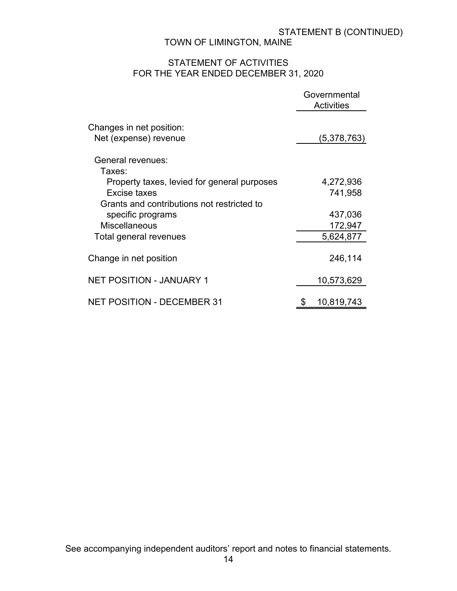## STATEMENT B (CONTINUED)

# TOWN OF LIMINGTON, MAINE

## STATEMENT OF ACTIVITIES FOR THE YEAR ENDED DECEMBER 31, 2020

|                                             | Governmental<br><b>Activities</b> |
|---------------------------------------------|-----------------------------------|
| Changes in net position:                    |                                   |
| Net (expense) revenue                       | (5,378,763)                       |
| General revenues:<br>Taxes:                 |                                   |
| Property taxes, levied for general purposes | 4,272,936                         |
| Excise taxes                                | 741,958                           |
| Grants and contributions not restricted to  |                                   |
| specific programs                           | 437,036                           |
| <b>Miscellaneous</b>                        | 172,947                           |
| Total general revenues                      | 5,624,877                         |
| Change in net position                      | 246,114                           |
| <b>NET POSITION - JANUARY 1</b>             | 10,573,629                        |
| <b>NET POSITION - DECEMBER 31</b>           | \$<br>10,819,743                  |

See accompanying independent auditors' report and notes to financial statements.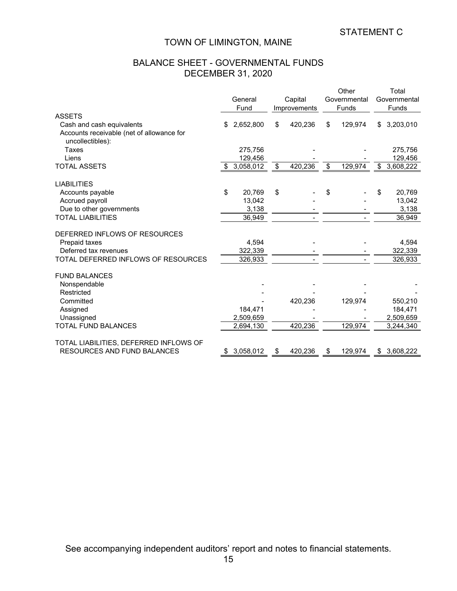## BALANCE SHEET - GOVERNMENTAL FUNDS DECEMBER 31, 2020

|                                                               |                    |                           |               |                         | Other   |              | Total     |
|---------------------------------------------------------------|--------------------|---------------------------|---------------|-------------------------|---------|--------------|-----------|
|                                                               | Capital<br>General |                           |               | Governmental            |         | Governmental |           |
|                                                               |                    | Fund                      | Improvements  |                         | Funds   |              | Funds     |
| <b>ASSETS</b>                                                 |                    |                           |               |                         |         |              |           |
| Cash and cash equivalents                                     | \$                 | 2,652,800                 | \$<br>420,236 | \$                      | 129,974 | \$           | 3,203,010 |
| Accounts receivable (net of allowance for<br>uncollectibles): |                    |                           |               |                         |         |              |           |
| <b>Taxes</b>                                                  |                    | 275,756                   |               |                         |         |              | 275,756   |
| Liens                                                         |                    | 129,456                   |               |                         |         |              | 129,456   |
| <b>TOTAL ASSETS</b>                                           |                    | $\overline{\$}$ 3,058,012 | \$<br>420,236 | $\overline{\mathbf{e}}$ | 129,974 | \$           | 3,608,222 |
| <b>LIABILITIES</b>                                            |                    |                           |               |                         |         |              |           |
| Accounts payable                                              | \$                 | 20,769                    | \$            | \$                      |         | \$           | 20,769    |
| Accrued payroll                                               |                    | 13,042                    |               |                         |         |              | 13,042    |
| Due to other governments                                      |                    | 3,138                     |               |                         |         |              | 3,138     |
| <b>TOTAL LIABILITIES</b>                                      |                    | 36,949                    |               |                         |         |              | 36,949    |
|                                                               |                    |                           |               |                         |         |              |           |
| DEFERRED INFLOWS OF RESOURCES                                 |                    |                           |               |                         |         |              |           |
| Prepaid taxes                                                 |                    | 4,594                     |               |                         |         |              | 4,594     |
| Deferred tax revenues                                         |                    | 322,339                   |               |                         |         |              | 322,339   |
| TOTAL DEFERRED INFLOWS OF RESOURCES                           |                    | 326,933                   |               |                         |         |              | 326,933   |
|                                                               |                    |                           |               |                         |         |              |           |
| <b>FUND BALANCES</b>                                          |                    |                           |               |                         |         |              |           |
| Nonspendable                                                  |                    |                           |               |                         |         |              |           |
| Restricted                                                    |                    |                           |               |                         |         |              |           |
| Committed                                                     |                    |                           | 420,236       |                         | 129,974 |              | 550,210   |
| Assigned                                                      |                    | 184,471                   |               |                         |         |              | 184,471   |
| Unassigned                                                    |                    | 2,509,659                 |               |                         |         |              | 2,509,659 |
| <b>TOTAL FUND BALANCES</b>                                    |                    | 2,694,130                 | 420,236       |                         | 129,974 |              | 3,244,340 |
| TOTAL LIABILITIES, DEFERRED INFLOWS OF                        |                    |                           |               |                         |         |              |           |
| RESOURCES AND FUND BALANCES                                   |                    | 3,058,012                 | \$<br>420,236 | \$                      | 129,974 | \$           | 3,608,222 |

See accompanying independent auditors' report and notes to financial statements.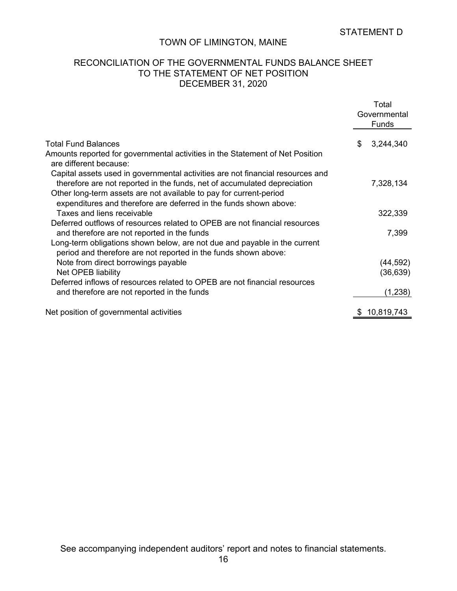## RECONCILIATION OF THE GOVERNMENTAL FUNDS BALANCE SHEET TO THE STATEMENT OF NET POSITION DECEMBER 31, 2020

|                                                                                                                                                                                                                                                                                                       | Total<br>Governmental<br><b>Funds</b> |
|-------------------------------------------------------------------------------------------------------------------------------------------------------------------------------------------------------------------------------------------------------------------------------------------------------|---------------------------------------|
| <b>Total Fund Balances</b>                                                                                                                                                                                                                                                                            | \$<br>3,244,340                       |
| Amounts reported for governmental activities in the Statement of Net Position<br>are different because:                                                                                                                                                                                               |                                       |
| Capital assets used in governmental activities are not financial resources and<br>therefore are not reported in the funds, net of accumulated depreciation<br>Other long-term assets are not available to pay for current-period<br>expenditures and therefore are deferred in the funds shown above: | 7,328,134                             |
| Taxes and liens receivable                                                                                                                                                                                                                                                                            | 322,339                               |
| Deferred outflows of resources related to OPEB are not financial resources<br>and therefore are not reported in the funds<br>Long-term obligations shown below, are not due and payable in the current                                                                                                | 7,399                                 |
| period and therefore are not reported in the funds shown above:                                                                                                                                                                                                                                       |                                       |
| Note from direct borrowings payable                                                                                                                                                                                                                                                                   | (44, 592)                             |
| Net OPEB liability                                                                                                                                                                                                                                                                                    | (36,639)                              |
| Deferred inflows of resources related to OPEB are not financial resources<br>and therefore are not reported in the funds                                                                                                                                                                              | (1,238)                               |
| Net position of governmental activities                                                                                                                                                                                                                                                               | 10,819,743                            |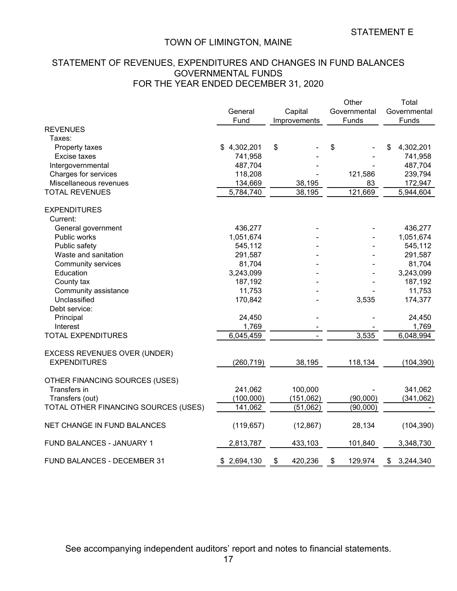## STATEMENT OF REVENUES, EXPENDITURES AND CHANGES IN FUND BALANCES GOVERNMENTAL FUNDS FOR THE YEAR ENDED DECEMBER 31, 2020

|                                                | General<br>Fund     | Capital<br>Improvements | Other<br>Governmental<br>Funds | Total<br>Governmental<br>Funds |
|------------------------------------------------|---------------------|-------------------------|--------------------------------|--------------------------------|
| <b>REVENUES</b>                                |                     |                         |                                |                                |
| Taxes:                                         |                     |                         |                                |                                |
| Property taxes                                 | \$4,302,201         | \$                      | \$                             | \$<br>4,302,201                |
| <b>Excise taxes</b>                            | 741,958             |                         |                                | 741,958                        |
| Intergovernmental                              | 487,704             |                         |                                | 487,704                        |
| Charges for services                           | 118,208             |                         | 121,586                        | 239,794                        |
| Miscellaneous revenues                         | 134,669             | 38,195                  | 83                             | 172,947                        |
| <b>TOTAL REVENUES</b>                          | 5,784,740           | 38,195                  | 121,669                        | 5,944,604                      |
| <b>EXPENDITURES</b>                            |                     |                         |                                |                                |
| Current:                                       |                     |                         |                                |                                |
| General government                             | 436,277             |                         |                                | 436,277                        |
| Public works                                   | 1,051,674           |                         |                                | 1,051,674                      |
| Public safety                                  | 545,112             |                         |                                | 545,112                        |
| Waste and sanitation                           | 291,587             |                         |                                | 291,587                        |
| Community services<br>Education                | 81,704<br>3,243,099 |                         |                                | 81,704<br>3,243,099            |
| County tax                                     | 187,192             |                         |                                | 187,192                        |
| Community assistance                           | 11,753              |                         |                                | 11,753                         |
| Unclassified                                   | 170,842             |                         | 3,535                          | 174,377                        |
| Debt service:                                  |                     |                         |                                |                                |
| Principal                                      | 24,450              |                         |                                | 24,450                         |
| Interest                                       | 1,769               |                         |                                | 1,769                          |
| <b>TOTAL EXPENDITURES</b>                      | 6,045,459           |                         | 3,535                          | 6,048,994                      |
| <b>EXCESS REVENUES OVER (UNDER)</b>            |                     |                         |                                |                                |
| <b>EXPENDITURES</b>                            | (260, 719)          | 38,195                  | 118,134                        | (104, 390)                     |
|                                                |                     |                         |                                |                                |
| OTHER FINANCING SOURCES (USES)<br>Transfers in | 241,062             | 100,000                 |                                |                                |
| Transfers (out)                                | (100,000)           | (151, 062)              | (90,000)                       | 341,062<br>(341, 062)          |
| TOTAL OTHER FINANCING SOURCES (USES)           | 141,062             | (51,062)                | (90,000)                       |                                |
| NET CHANGE IN FUND BALANCES                    | (119, 657)          | (12, 867)               | 28,134                         | (104, 390)                     |
|                                                |                     |                         |                                |                                |
| FUND BALANCES - JANUARY 1                      | 2,813,787           | 433,103                 | 101,840                        | 3,348,730                      |
| FUND BALANCES - DECEMBER 31                    | \$2,694,130         | \$<br>420,236           | \$<br>129,974                  | \$<br>3,244,340                |

See accompanying independent auditors' report and notes to financial statements.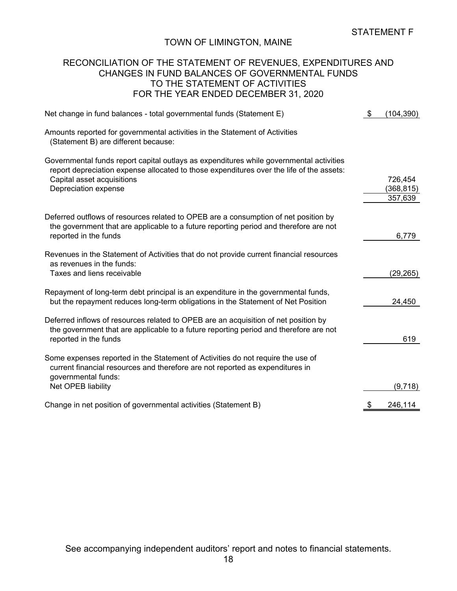#### RECONCILIATION OF THE STATEMENT OF REVENUES, EXPENDITURES AND CHANGES IN FUND BALANCES OF GOVERNMENTAL FUNDS TO THE STATEMENT OF ACTIVITIES FOR THE YEAR ENDED DECEMBER 31, 2020

| Net change in fund balances - total governmental funds (Statement E)                                                                                                                                                                      | \$<br>(104, 390)                 |
|-------------------------------------------------------------------------------------------------------------------------------------------------------------------------------------------------------------------------------------------|----------------------------------|
| Amounts reported for governmental activities in the Statement of Activities<br>(Statement B) are different because:                                                                                                                       |                                  |
| Governmental funds report capital outlays as expenditures while governmental activities<br>report depreciation expense allocated to those expenditures over the life of the assets:<br>Capital asset acquisitions<br>Depreciation expense | 726,454<br>(368, 815)<br>357,639 |
| Deferred outflows of resources related to OPEB are a consumption of net position by<br>the government that are applicable to a future reporting period and therefore are not<br>reported in the funds                                     | 6,779                            |
| Revenues in the Statement of Activities that do not provide current financial resources<br>as revenues in the funds:<br>Taxes and liens receivable                                                                                        | (29, 265)                        |
| Repayment of long-term debt principal is an expenditure in the governmental funds,<br>but the repayment reduces long-term obligations in the Statement of Net Position                                                                    | 24,450                           |
| Deferred inflows of resources related to OPEB are an acquisition of net position by<br>the government that are applicable to a future reporting period and therefore are not<br>reported in the funds                                     | 619                              |
| Some expenses reported in the Statement of Activities do not require the use of<br>current financial resources and therefore are not reported as expenditures in<br>governmental funds:<br>Net OPEB liability                             | (9,718)                          |
|                                                                                                                                                                                                                                           |                                  |
| Change in net position of governmental activities (Statement B)                                                                                                                                                                           | 246,114                          |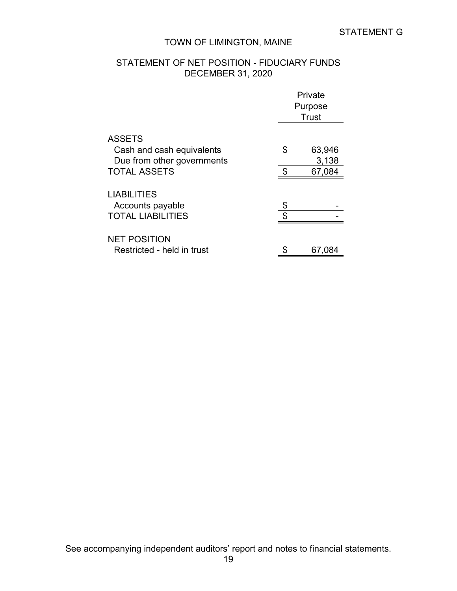## STATEMENT OF NET POSITION - FIDUCIARY FUNDS DECEMBER 31, 2020

|                                                                                          |           | Private<br>Purpose<br>Trust |  |  |
|------------------------------------------------------------------------------------------|-----------|-----------------------------|--|--|
| ASSETS<br>Cash and cash equivalents<br>Due from other governments<br><b>TOTAL ASSETS</b> | \$<br>\$. | 63,946<br>3,138<br>67,084   |  |  |
| <b>LIABILITIES</b><br>Accounts payable<br>TOTAL LIABILITIES                              | \$        |                             |  |  |
| <b>NET POSITION</b><br>Restricted - held in trust                                        | \$        | 67,084                      |  |  |

See accompanying independent auditors' report and notes to financial statements.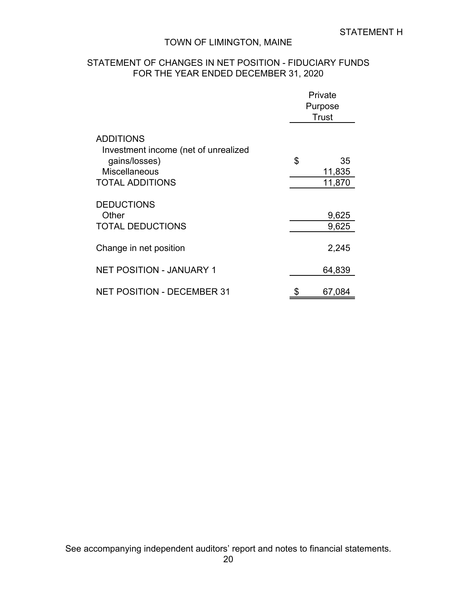## STATEMENT OF CHANGES IN NET POSITION - FIDUCIARY FUNDS FOR THE YEAR ENDED DECEMBER 31, 2020

|                                                          | Private<br>Purpose<br>Trust |        |  |
|----------------------------------------------------------|-----------------------------|--------|--|
| <b>ADDITIONS</b><br>Investment income (net of unrealized |                             |        |  |
| gains/losses)                                            | \$                          | 35     |  |
| <b>Miscellaneous</b>                                     |                             | 11,835 |  |
| <b>TOTAL ADDITIONS</b>                                   |                             | 11,870 |  |
| <b>DEDUCTIONS</b><br>Other                               |                             | 9,625  |  |
| <b>TOTAL DEDUCTIONS</b>                                  |                             | 9,625  |  |
| Change in net position                                   |                             | 2,245  |  |
| <b>NET POSITION - JANUARY 1</b>                          |                             | 64,839 |  |
| <b>NET POSITION - DECEMBER 31</b>                        | \$                          | 67,084 |  |

See accompanying independent auditors' report and notes to financial statements.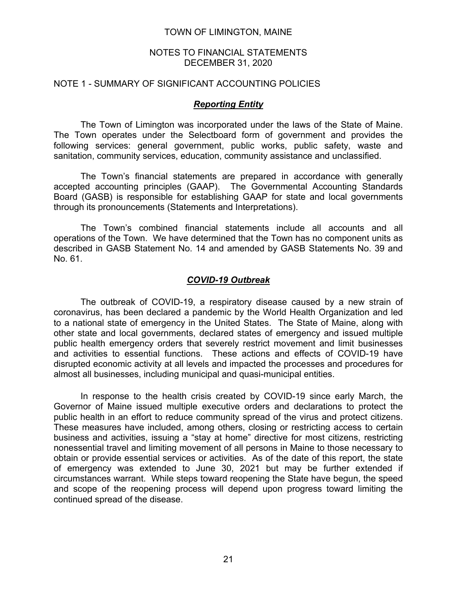#### NOTES TO FINANCIAL STATEMENTS DECEMBER 31, 2020

#### NOTE 1 - SUMMARY OF SIGNIFICANT ACCOUNTING POLICIES

#### *Reporting Entity*

The Town of Limington was incorporated under the laws of the State of Maine. The Town operates under the Selectboard form of government and provides the following services: general government, public works, public safety, waste and sanitation, community services, education, community assistance and unclassified.

 The Town's financial statements are prepared in accordance with generally accepted accounting principles (GAAP). The Governmental Accounting Standards Board (GASB) is responsible for establishing GAAP for state and local governments through its pronouncements (Statements and Interpretations).

The Town's combined financial statements include all accounts and all operations of the Town. We have determined that the Town has no component units as described in GASB Statement No. 14 and amended by GASB Statements No. 39 and No. 61.

#### *COVID-19 Outbreak*

The outbreak of COVID-19, a respiratory disease caused by a new strain of coronavirus, has been declared a pandemic by the World Health Organization and led to a national state of emergency in the United States. The State of Maine, along with other state and local governments, declared states of emergency and issued multiple public health emergency orders that severely restrict movement and limit businesses and activities to essential functions. These actions and effects of COVID-19 have disrupted economic activity at all levels and impacted the processes and procedures for almost all businesses, including municipal and quasi-municipal entities.

In response to the health crisis created by COVID-19 since early March, the Governor of Maine issued multiple executive orders and declarations to protect the public health in an effort to reduce community spread of the virus and protect citizens. These measures have included, among others, closing or restricting access to certain business and activities, issuing a "stay at home" directive for most citizens, restricting nonessential travel and limiting movement of all persons in Maine to those necessary to obtain or provide essential services or activities. As of the date of this report, the state of emergency was extended to June 30, 2021 but may be further extended if circumstances warrant. While steps toward reopening the State have begun, the speed and scope of the reopening process will depend upon progress toward limiting the continued spread of the disease.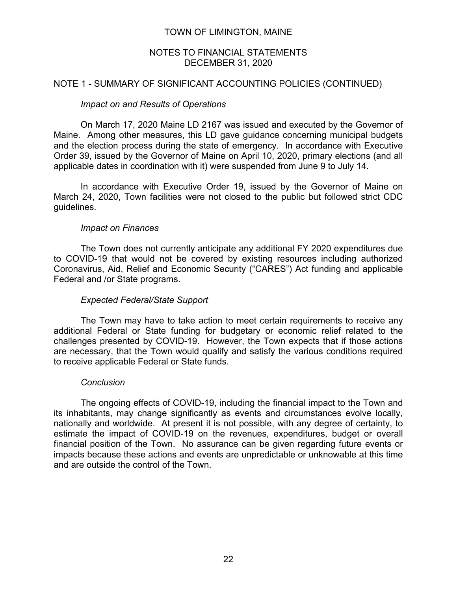#### NOTES TO FINANCIAL STATEMENTS DECEMBER 31, 2020

#### NOTE 1 - SUMMARY OF SIGNIFICANT ACCOUNTING POLICIES (CONTINUED)

#### *Impact on and Results of Operations*

On March 17, 2020 Maine LD 2167 was issued and executed by the Governor of Maine. Among other measures, this LD gave guidance concerning municipal budgets and the election process during the state of emergency. In accordance with Executive Order 39, issued by the Governor of Maine on April 10, 2020, primary elections (and all applicable dates in coordination with it) were suspended from June 9 to July 14.

In accordance with Executive Order 19, issued by the Governor of Maine on March 24, 2020, Town facilities were not closed to the public but followed strict CDC guidelines.

#### *Impact on Finances*

The Town does not currently anticipate any additional FY 2020 expenditures due to COVID-19 that would not be covered by existing resources including authorized Coronavirus, Aid, Relief and Economic Security ("CARES") Act funding and applicable Federal and /or State programs.

#### *Expected Federal/State Support*

The Town may have to take action to meet certain requirements to receive any additional Federal or State funding for budgetary or economic relief related to the challenges presented by COVID-19. However, the Town expects that if those actions are necessary, that the Town would qualify and satisfy the various conditions required to receive applicable Federal or State funds.

#### *Conclusion*

The ongoing effects of COVID-19, including the financial impact to the Town and its inhabitants, may change significantly as events and circumstances evolve locally, nationally and worldwide. At present it is not possible, with any degree of certainty, to estimate the impact of COVID-19 on the revenues, expenditures, budget or overall financial position of the Town. No assurance can be given regarding future events or impacts because these actions and events are unpredictable or unknowable at this time and are outside the control of the Town.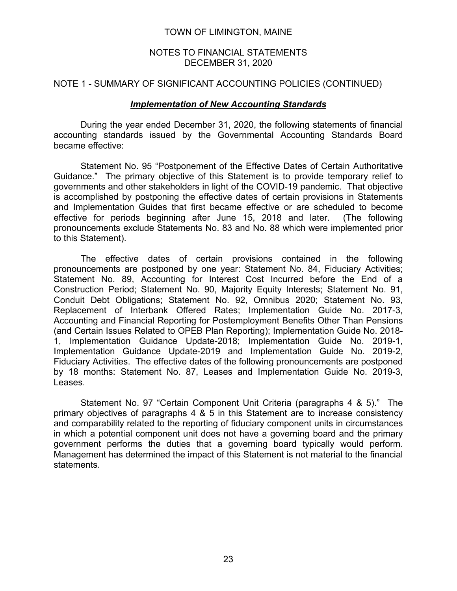#### NOTES TO FINANCIAL STATEMENTS DECEMBER 31, 2020

#### NOTE 1 - SUMMARY OF SIGNIFICANT ACCOUNTING POLICIES (CONTINUED)

#### *Implementation of New Accounting Standards*

During the year ended December 31, 2020, the following statements of financial accounting standards issued by the Governmental Accounting Standards Board became effective:

Statement No. 95 "Postponement of the Effective Dates of Certain Authoritative Guidance." The primary objective of this Statement is to provide temporary relief to governments and other stakeholders in light of the COVID-19 pandemic. That objective is accomplished by postponing the effective dates of certain provisions in Statements and Implementation Guides that first became effective or are scheduled to become effective for periods beginning after June 15, 2018 and later. (The following pronouncements exclude Statements No. 83 and No. 88 which were implemented prior to this Statement).

The effective dates of certain provisions contained in the following pronouncements are postponed by one year: Statement No. 84, Fiduciary Activities; Statement No. 89, Accounting for Interest Cost Incurred before the End of a Construction Period; Statement No. 90, Majority Equity Interests; Statement No. 91, Conduit Debt Obligations; Statement No. 92, Omnibus 2020; Statement No. 93, Replacement of Interbank Offered Rates; Implementation Guide No. 2017-3, Accounting and Financial Reporting for Postemployment Benefits Other Than Pensions (and Certain Issues Related to OPEB Plan Reporting); Implementation Guide No. 2018- 1, Implementation Guidance Update-2018; Implementation Guide No. 2019-1, Implementation Guidance Update-2019 and Implementation Guide No. 2019-2, Fiduciary Activities. The effective dates of the following pronouncements are postponed by 18 months: Statement No. 87, Leases and Implementation Guide No. 2019-3, Leases.

Statement No. 97 "Certain Component Unit Criteria (paragraphs 4 & 5)." The primary objectives of paragraphs 4 & 5 in this Statement are to increase consistency and comparability related to the reporting of fiduciary component units in circumstances in which a potential component unit does not have a governing board and the primary government performs the duties that a governing board typically would perform. Management has determined the impact of this Statement is not material to the financial statements.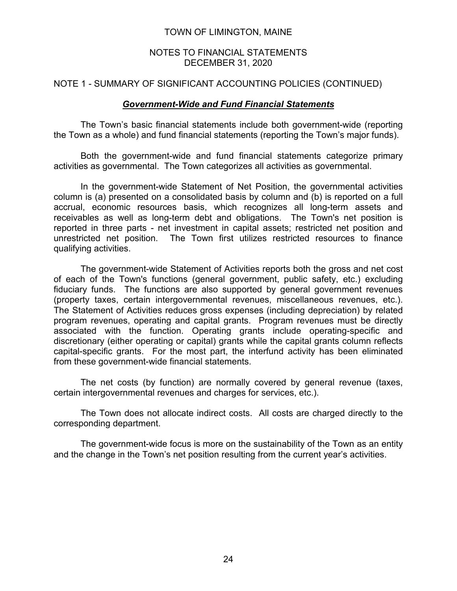#### NOTES TO FINANCIAL STATEMENTS DECEMBER 31, 2020

#### NOTE 1 - SUMMARY OF SIGNIFICANT ACCOUNTING POLICIES (CONTINUED)

#### *Government-Wide and Fund Financial Statements*

 The Town's basic financial statements include both government-wide (reporting the Town as a whole) and fund financial statements (reporting the Town's major funds).

Both the government-wide and fund financial statements categorize primary activities as governmental. The Town categorizes all activities as governmental.

In the government-wide Statement of Net Position, the governmental activities column is (a) presented on a consolidated basis by column and (b) is reported on a full accrual, economic resources basis, which recognizes all long-term assets and receivables as well as long-term debt and obligations. The Town's net position is reported in three parts - net investment in capital assets; restricted net position and unrestricted net position. The Town first utilizes restricted resources to finance qualifying activities.

The government-wide Statement of Activities reports both the gross and net cost of each of the Town's functions (general government, public safety, etc.) excluding fiduciary funds. The functions are also supported by general government revenues (property taxes, certain intergovernmental revenues, miscellaneous revenues, etc.). The Statement of Activities reduces gross expenses (including depreciation) by related program revenues, operating and capital grants. Program revenues must be directly associated with the function. Operating grants include operating-specific and discretionary (either operating or capital) grants while the capital grants column reflects capital-specific grants. For the most part, the interfund activity has been eliminated from these government-wide financial statements.

 The net costs (by function) are normally covered by general revenue (taxes, certain intergovernmental revenues and charges for services, etc.).

 The Town does not allocate indirect costs. All costs are charged directly to the corresponding department.

 The government-wide focus is more on the sustainability of the Town as an entity and the change in the Town's net position resulting from the current year's activities.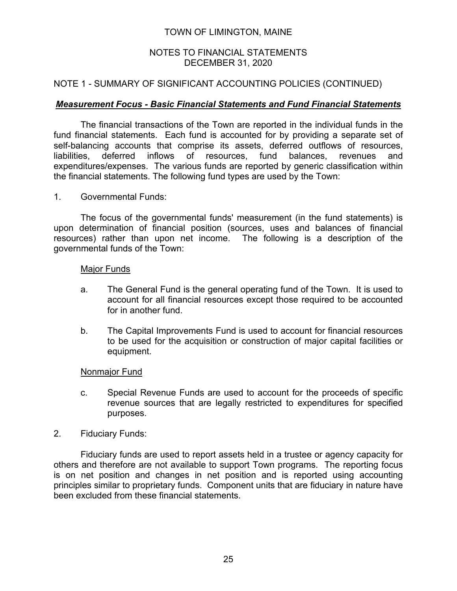#### NOTES TO FINANCIAL STATEMENTS DECEMBER 31, 2020

### NOTE 1 - SUMMARY OF SIGNIFICANT ACCOUNTING POLICIES (CONTINUED)

### *Measurement Focus - Basic Financial Statements and Fund Financial Statements*

 The financial transactions of the Town are reported in the individual funds in the fund financial statements. Each fund is accounted for by providing a separate set of self-balancing accounts that comprise its assets, deferred outflows of resources, liabilities, deferred inflows of resources, fund balances, revenues and expenditures/expenses. The various funds are reported by generic classification within the financial statements. The following fund types are used by the Town:

1. Governmental Funds:

 The focus of the governmental funds' measurement (in the fund statements) is upon determination of financial position (sources, uses and balances of financial resources) rather than upon net income. The following is a description of the governmental funds of the Town:

#### Major Funds

- a. The General Fund is the general operating fund of the Town. It is used to account for all financial resources except those required to be accounted for in another fund.
- b. The Capital Improvements Fund is used to account for financial resources to be used for the acquisition or construction of major capital facilities or equipment.

#### Nonmajor Fund

- c. Special Revenue Funds are used to account for the proceeds of specific revenue sources that are legally restricted to expenditures for specified purposes.
- 2. Fiduciary Funds:

 Fiduciary funds are used to report assets held in a trustee or agency capacity for others and therefore are not available to support Town programs. The reporting focus is on net position and changes in net position and is reported using accounting principles similar to proprietary funds. Component units that are fiduciary in nature have been excluded from these financial statements.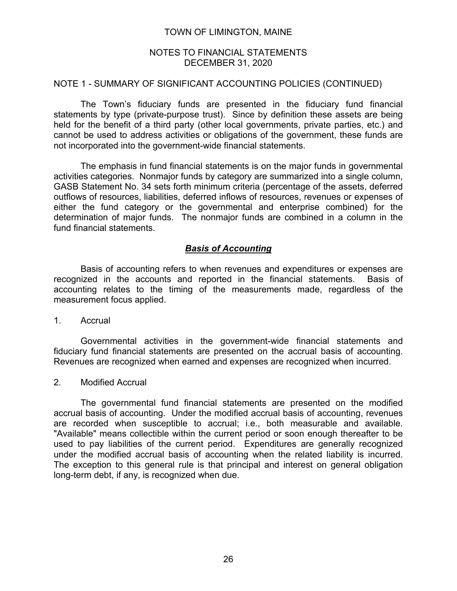#### NOTES TO FINANCIAL STATEMENTS DECEMBER 31, 2020

#### NOTE 1 - SUMMARY OF SIGNIFICANT ACCOUNTING POLICIES (CONTINUED)

 The Town's fiduciary funds are presented in the fiduciary fund financial statements by type (private-purpose trust). Since by definition these assets are being held for the benefit of a third party (other local governments, private parties, etc.) and cannot be used to address activities or obligations of the government, these funds are not incorporated into the government-wide financial statements.

The emphasis in fund financial statements is on the major funds in governmental activities categories. Nonmajor funds by category are summarized into a single column, GASB Statement No. 34 sets forth minimum criteria (percentage of the assets, deferred outflows of resources, liabilities, deferred inflows of resources, revenues or expenses of either the fund category or the governmental and enterprise combined) for the determination of major funds. The nonmajor funds are combined in a column in the fund financial statements.

#### *Basis of Accounting*

 Basis of accounting refers to when revenues and expenditures or expenses are recognized in the accounts and reported in the financial statements. Basis of accounting relates to the timing of the measurements made, regardless of the measurement focus applied.

1. Accrual

 Governmental activities in the government-wide financial statements and fiduciary fund financial statements are presented on the accrual basis of accounting. Revenues are recognized when earned and expenses are recognized when incurred.

2. Modified Accrual

 The governmental fund financial statements are presented on the modified accrual basis of accounting. Under the modified accrual basis of accounting, revenues are recorded when susceptible to accrual; i.e., both measurable and available. "Available" means collectible within the current period or soon enough thereafter to be used to pay liabilities of the current period. Expenditures are generally recognized under the modified accrual basis of accounting when the related liability is incurred. The exception to this general rule is that principal and interest on general obligation long-term debt, if any, is recognized when due.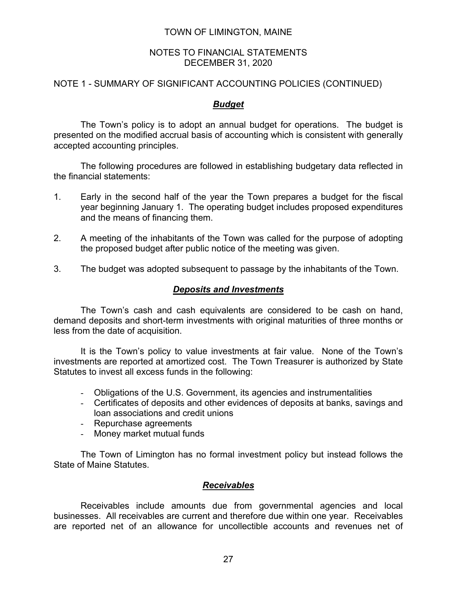#### NOTES TO FINANCIAL STATEMENTS DECEMBER 31, 2020

#### NOTE 1 - SUMMARY OF SIGNIFICANT ACCOUNTING POLICIES (CONTINUED)

### *Budget*

 The Town's policy is to adopt an annual budget for operations. The budget is presented on the modified accrual basis of accounting which is consistent with generally accepted accounting principles.

 The following procedures are followed in establishing budgetary data reflected in the financial statements:

- 1. Early in the second half of the year the Town prepares a budget for the fiscal year beginning January 1. The operating budget includes proposed expenditures and the means of financing them.
- 2. A meeting of the inhabitants of the Town was called for the purpose of adopting the proposed budget after public notice of the meeting was given.
- 3. The budget was adopted subsequent to passage by the inhabitants of the Town.

## *Deposits and Investments*

 The Town's cash and cash equivalents are considered to be cash on hand, demand deposits and short-term investments with original maturities of three months or less from the date of acquisition.

 It is the Town's policy to value investments at fair value. None of the Town's investments are reported at amortized cost. The Town Treasurer is authorized by State Statutes to invest all excess funds in the following:

- Obligations of the U.S. Government, its agencies and instrumentalities
- Certificates of deposits and other evidences of deposits at banks, savings and loan associations and credit unions
- Repurchase agreements
- Money market mutual funds

The Town of Limington has no formal investment policy but instead follows the State of Maine Statutes.

## *Receivables*

Receivables include amounts due from governmental agencies and local businesses. All receivables are current and therefore due within one year. Receivables are reported net of an allowance for uncollectible accounts and revenues net of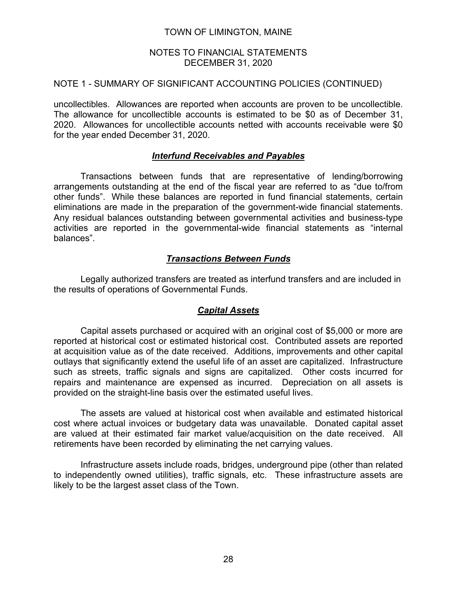#### NOTES TO FINANCIAL STATEMENTS DECEMBER 31, 2020

#### NOTE 1 - SUMMARY OF SIGNIFICANT ACCOUNTING POLICIES (CONTINUED)

uncollectibles. Allowances are reported when accounts are proven to be uncollectible. The allowance for uncollectible accounts is estimated to be \$0 as of December 31, 2020. Allowances for uncollectible accounts netted with accounts receivable were \$0 for the year ended December 31, 2020.

#### *Interfund Receivables and Payables*

Transactions between funds that are representative of lending/borrowing arrangements outstanding at the end of the fiscal year are referred to as "due to/from other funds". While these balances are reported in fund financial statements, certain eliminations are made in the preparation of the government-wide financial statements. Any residual balances outstanding between governmental activities and business-type activities are reported in the governmental-wide financial statements as "internal balances".

## *Transactions Between Funds*

Legally authorized transfers are treated as interfund transfers and are included in the results of operations of Governmental Funds.

#### *Capital Assets*

Capital assets purchased or acquired with an original cost of \$5,000 or more are reported at historical cost or estimated historical cost. Contributed assets are reported at acquisition value as of the date received. Additions, improvements and other capital outlays that significantly extend the useful life of an asset are capitalized. Infrastructure such as streets, traffic signals and signs are capitalized. Other costs incurred for repairs and maintenance are expensed as incurred. Depreciation on all assets is provided on the straight-line basis over the estimated useful lives.

The assets are valued at historical cost when available and estimated historical cost where actual invoices or budgetary data was unavailable. Donated capital asset are valued at their estimated fair market value/acquisition on the date received. All retirements have been recorded by eliminating the net carrying values.

Infrastructure assets include roads, bridges, underground pipe (other than related to independently owned utilities), traffic signals, etc. These infrastructure assets are likely to be the largest asset class of the Town.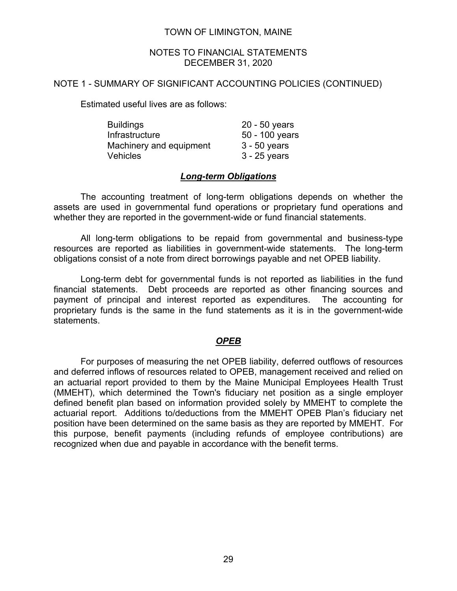#### NOTES TO FINANCIAL STATEMENTS DECEMBER 31, 2020

#### NOTE 1 - SUMMARY OF SIGNIFICANT ACCOUNTING POLICIES (CONTINUED)

Estimated useful lives are as follows:

| <b>Buildings</b>        | $20 - 50$ years |
|-------------------------|-----------------|
| Infrastructure          | 50 - 100 years  |
| Machinery and equipment | $3 - 50$ years  |
| <b>Vehicles</b>         | 3 - 25 years    |

#### *Long-term Obligations*

The accounting treatment of long-term obligations depends on whether the assets are used in governmental fund operations or proprietary fund operations and whether they are reported in the government-wide or fund financial statements.

All long-term obligations to be repaid from governmental and business-type resources are reported as liabilities in government-wide statements. The long-term obligations consist of a note from direct borrowings payable and net OPEB liability.

Long-term debt for governmental funds is not reported as liabilities in the fund financial statements. Debt proceeds are reported as other financing sources and payment of principal and interest reported as expenditures. The accounting for proprietary funds is the same in the fund statements as it is in the government-wide statements.

#### *OPEB*

 For purposes of measuring the net OPEB liability, deferred outflows of resources and deferred inflows of resources related to OPEB, management received and relied on an actuarial report provided to them by the Maine Municipal Employees Health Trust (MMEHT), which determined the Town's fiduciary net position as a single employer defined benefit plan based on information provided solely by MMEHT to complete the actuarial report. Additions to/deductions from the MMEHT OPEB Plan's fiduciary net position have been determined on the same basis as they are reported by MMEHT. For this purpose, benefit payments (including refunds of employee contributions) are recognized when due and payable in accordance with the benefit terms.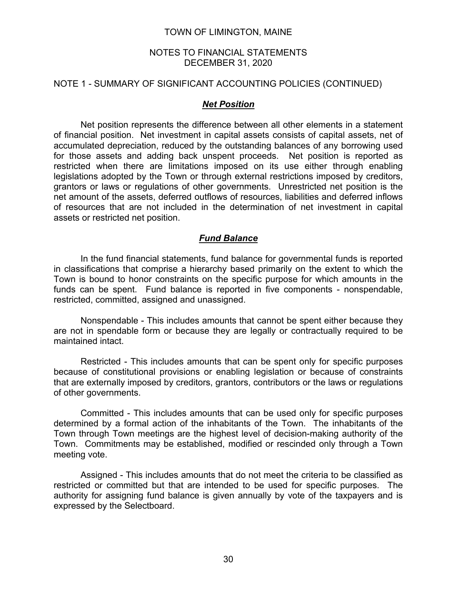#### NOTES TO FINANCIAL STATEMENTS DECEMBER 31, 2020

#### NOTE 1 - SUMMARY OF SIGNIFICANT ACCOUNTING POLICIES (CONTINUED)

#### *Net Position*

Net position represents the difference between all other elements in a statement of financial position. Net investment in capital assets consists of capital assets, net of accumulated depreciation, reduced by the outstanding balances of any borrowing used for those assets and adding back unspent proceeds. Net position is reported as restricted when there are limitations imposed on its use either through enabling legislations adopted by the Town or through external restrictions imposed by creditors, grantors or laws or regulations of other governments. Unrestricted net position is the net amount of the assets, deferred outflows of resources, liabilities and deferred inflows of resources that are not included in the determination of net investment in capital assets or restricted net position.

#### *Fund Balance*

 In the fund financial statements, fund balance for governmental funds is reported in classifications that comprise a hierarchy based primarily on the extent to which the Town is bound to honor constraints on the specific purpose for which amounts in the funds can be spent. Fund balance is reported in five components - nonspendable, restricted, committed, assigned and unassigned.

Nonspendable - This includes amounts that cannot be spent either because they are not in spendable form or because they are legally or contractually required to be maintained intact.

Restricted - This includes amounts that can be spent only for specific purposes because of constitutional provisions or enabling legislation or because of constraints that are externally imposed by creditors, grantors, contributors or the laws or regulations of other governments.

Committed - This includes amounts that can be used only for specific purposes determined by a formal action of the inhabitants of the Town. The inhabitants of the Town through Town meetings are the highest level of decision-making authority of the Town. Commitments may be established, modified or rescinded only through a Town meeting vote.

Assigned - This includes amounts that do not meet the criteria to be classified as restricted or committed but that are intended to be used for specific purposes. The authority for assigning fund balance is given annually by vote of the taxpayers and is expressed by the Selectboard.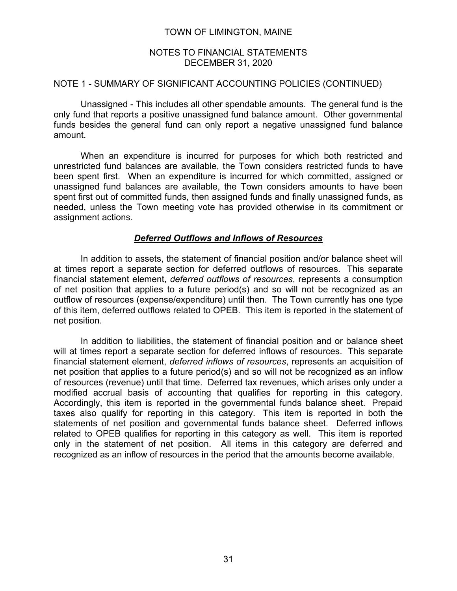#### NOTES TO FINANCIAL STATEMENTS DECEMBER 31, 2020

#### NOTE 1 - SUMMARY OF SIGNIFICANT ACCOUNTING POLICIES (CONTINUED)

Unassigned - This includes all other spendable amounts. The general fund is the only fund that reports a positive unassigned fund balance amount. Other governmental funds besides the general fund can only report a negative unassigned fund balance amount.

When an expenditure is incurred for purposes for which both restricted and unrestricted fund balances are available, the Town considers restricted funds to have been spent first. When an expenditure is incurred for which committed, assigned or unassigned fund balances are available, the Town considers amounts to have been spent first out of committed funds, then assigned funds and finally unassigned funds, as needed, unless the Town meeting vote has provided otherwise in its commitment or assignment actions.

#### *Deferred Outflows and Inflows of Resources*

In addition to assets, the statement of financial position and/or balance sheet will at times report a separate section for deferred outflows of resources. This separate financial statement element, *deferred outflows of resources*, represents a consumption of net position that applies to a future period(s) and so will not be recognized as an outflow of resources (expense/expenditure) until then. The Town currently has one type of this item, deferred outflows related to OPEB. This item is reported in the statement of net position.

In addition to liabilities, the statement of financial position and or balance sheet will at times report a separate section for deferred inflows of resources. This separate financial statement element, *deferred inflows of resources*, represents an acquisition of net position that applies to a future period(s) and so will not be recognized as an inflow of resources (revenue) until that time. Deferred tax revenues, which arises only under a modified accrual basis of accounting that qualifies for reporting in this category. Accordingly, this item is reported in the governmental funds balance sheet. Prepaid taxes also qualify for reporting in this category. This item is reported in both the statements of net position and governmental funds balance sheet. Deferred inflows related to OPEB qualifies for reporting in this category as well. This item is reported only in the statement of net position. All items in this category are deferred and recognized as an inflow of resources in the period that the amounts become available.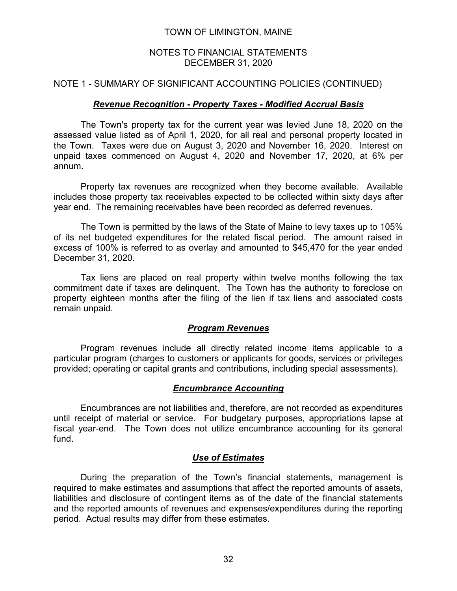#### NOTES TO FINANCIAL STATEMENTS DECEMBER 31, 2020

#### NOTE 1 - SUMMARY OF SIGNIFICANT ACCOUNTING POLICIES (CONTINUED)

#### *Revenue Recognition - Property Taxes - Modified Accrual Basis*

 The Town's property tax for the current year was levied June 18, 2020 on the assessed value listed as of April 1, 2020, for all real and personal property located in the Town. Taxes were due on August 3, 2020 and November 16, 2020. Interest on unpaid taxes commenced on August 4, 2020 and November 17, 2020, at 6% per annum.

Property tax revenues are recognized when they become available. Available includes those property tax receivables expected to be collected within sixty days after year end. The remaining receivables have been recorded as deferred revenues.

The Town is permitted by the laws of the State of Maine to levy taxes up to 105% of its net budgeted expenditures for the related fiscal period. The amount raised in excess of 100% is referred to as overlay and amounted to \$45,470 for the year ended December 31, 2020.

Tax liens are placed on real property within twelve months following the tax commitment date if taxes are delinquent. The Town has the authority to foreclose on property eighteen months after the filing of the lien if tax liens and associated costs remain unpaid.

#### *Program Revenues*

Program revenues include all directly related income items applicable to a particular program (charges to customers or applicants for goods, services or privileges provided; operating or capital grants and contributions, including special assessments).

#### *Encumbrance Accounting*

 Encumbrances are not liabilities and, therefore, are not recorded as expenditures until receipt of material or service. For budgetary purposes, appropriations lapse at fiscal year-end. The Town does not utilize encumbrance accounting for its general fund.

#### *Use of Estimates*

During the preparation of the Town's financial statements, management is required to make estimates and assumptions that affect the reported amounts of assets, liabilities and disclosure of contingent items as of the date of the financial statements and the reported amounts of revenues and expenses/expenditures during the reporting period. Actual results may differ from these estimates.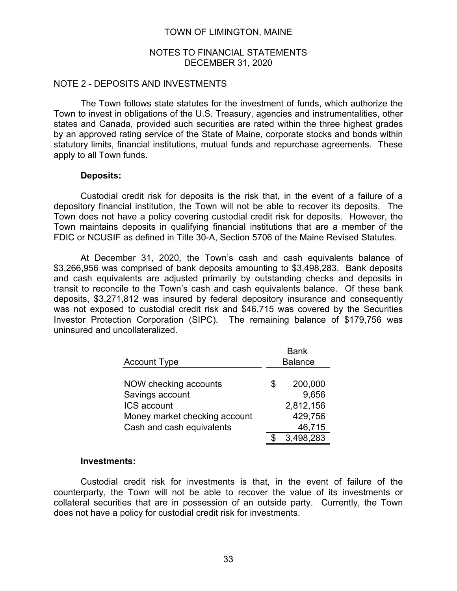#### NOTES TO FINANCIAL STATEMENTS DECEMBER 31, 2020

#### NOTE 2 - DEPOSITS AND INVESTMENTS

The Town follows state statutes for the investment of funds, which authorize the Town to invest in obligations of the U.S. Treasury, agencies and instrumentalities, other states and Canada, provided such securities are rated within the three highest grades by an approved rating service of the State of Maine, corporate stocks and bonds within statutory limits, financial institutions, mutual funds and repurchase agreements. These apply to all Town funds.

#### **Deposits:**

Custodial credit risk for deposits is the risk that, in the event of a failure of a depository financial institution, the Town will not be able to recover its deposits. The Town does not have a policy covering custodial credit risk for deposits. However, the Town maintains deposits in qualifying financial institutions that are a member of the FDIC or NCUSIF as defined in Title 30-A, Section 5706 of the Maine Revised Statutes.

At December 31, 2020, the Town's cash and cash equivalents balance of \$3,266,956 was comprised of bank deposits amounting to \$3,498,283. Bank deposits and cash equivalents are adjusted primarily by outstanding checks and deposits in transit to reconcile to the Town's cash and cash equivalents balance. Of these bank deposits, \$3,271,812 was insured by federal depository insurance and consequently was not exposed to custodial credit risk and \$46,715 was covered by the Securities Investor Protection Corporation (SIPC). The remaining balance of \$179,756 was uninsured and uncollateralized.

|                               | <b>Bank</b>    |
|-------------------------------|----------------|
| <b>Account Type</b>           | <b>Balance</b> |
|                               |                |
| NOW checking accounts         | \$<br>200,000  |
| Savings account               | 9,656          |
| ICS account                   | 2,812,156      |
| Money market checking account | 429,756        |
| Cash and cash equivalents     | 46,715         |
|                               | 3.498,283      |

#### **Investments:**

Custodial credit risk for investments is that, in the event of failure of the counterparty, the Town will not be able to recover the value of its investments or collateral securities that are in possession of an outside party. Currently, the Town does not have a policy for custodial credit risk for investments.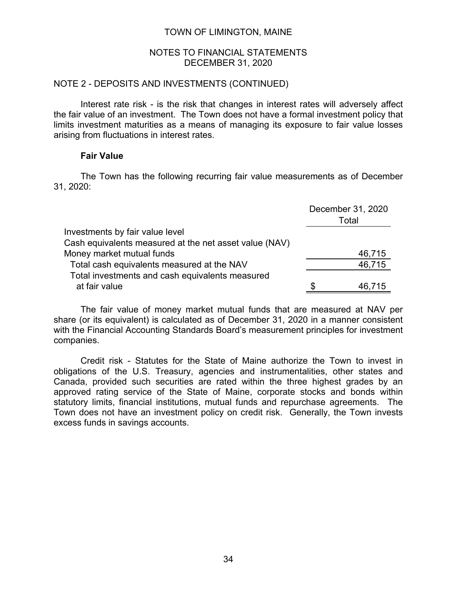#### NOTES TO FINANCIAL STATEMENTS DECEMBER 31, 2020

## NOTE 2 - DEPOSITS AND INVESTMENTS (CONTINUED)

Interest rate risk - is the risk that changes in interest rates will adversely affect the fair value of an investment. The Town does not have a formal investment policy that limits investment maturities as a means of managing its exposure to fair value losses arising from fluctuations in interest rates.

## **Fair Value**

The Town has the following recurring fair value measurements as of December 31, 2020:

|                                                        | December 31, 2020<br>Total |
|--------------------------------------------------------|----------------------------|
| Investments by fair value level                        |                            |
| Cash equivalents measured at the net asset value (NAV) |                            |
| Money market mutual funds                              | 46,715                     |
| Total cash equivalents measured at the NAV             | 46,715                     |
| Total investments and cash equivalents measured        |                            |
| at fair value                                          | 46,715                     |

 The fair value of money market mutual funds that are measured at NAV per share (or its equivalent) is calculated as of December 31, 2020 in a manner consistent with the Financial Accounting Standards Board's measurement principles for investment companies.

 Credit risk - Statutes for the State of Maine authorize the Town to invest in obligations of the U.S. Treasury, agencies and instrumentalities, other states and Canada, provided such securities are rated within the three highest grades by an approved rating service of the State of Maine, corporate stocks and bonds within statutory limits, financial institutions, mutual funds and repurchase agreements. The Town does not have an investment policy on credit risk. Generally, the Town invests excess funds in savings accounts.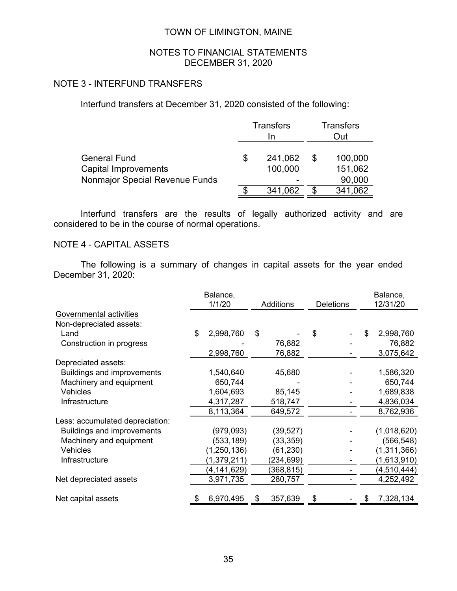## NOTES TO FINANCIAL STATEMENTS DECEMBER 31, 2020

## NOTE 3 - INTERFUND TRANSFERS

Interfund transfers at December 31, 2020 consisted of the following:

|                                                                                      |   | <b>Transfers</b><br>In | <b>Transfers</b><br>Out |                              |  |
|--------------------------------------------------------------------------------------|---|------------------------|-------------------------|------------------------------|--|
| <b>General Fund</b><br><b>Capital Improvements</b><br>Nonmajor Special Revenue Funds | S | 241,062<br>100,000     |                         | 100,000<br>151,062<br>90,000 |  |
|                                                                                      |   | 341,062                |                         | 341,062                      |  |

Interfund transfers are the results of legally authorized activity and are considered to be in the course of normal operations.

#### NOTE 4 - CAPITAL ASSETS

The following is a summary of changes in capital assets for the year ended December 31, 2020:

|                                   | Balance,        |    |                  |                  | Balance,        |
|-----------------------------------|-----------------|----|------------------|------------------|-----------------|
|                                   | 1/1/20          |    | <b>Additions</b> | <b>Deletions</b> | 12/31/20        |
| Governmental activities           |                 |    |                  |                  |                 |
| Non-depreciated assets:           |                 |    |                  |                  |                 |
| Land                              | \$<br>2,998,760 | \$ |                  | \$               | \$<br>2,998,760 |
| Construction in progress          |                 |    | 76,882           |                  | 76,882          |
|                                   | 2,998,760       |    | 76,882           |                  | 3,075,642       |
| Depreciated assets:               |                 |    |                  |                  |                 |
| <b>Buildings and improvements</b> | 1,540,640       |    | 45,680           |                  | 1,586,320       |
| Machinery and equipment           | 650,744         |    |                  |                  | 650,744         |
| <b>Vehicles</b>                   | 1,604,693       |    | 85,145           |                  | 1,689,838       |
| Infrastructure                    | 4,317,287       |    | 518,747          |                  | 4,836,034       |
|                                   | 8,113,364       |    | 649,572          |                  | 8,762,936       |
| Less: accumulated depreciation:   |                 |    |                  |                  |                 |
| <b>Buildings and improvements</b> | (979,093)       |    | (39, 527)        |                  | (1,018,620)     |
| Machinery and equipment           | (533, 189)      |    | (33, 359)        |                  | (566,548)       |
| Vehicles                          | (1, 250, 136)   |    | (61, 230)        |                  | (1,311,366)     |
| Infrastructure                    | (1,379,211)     |    | (234,699)        |                  | (1,613,910)     |
|                                   | (4,141,629)     |    | (368,815)        |                  | (4,510,444)     |
| Net depreciated assets            | 3,971,735       |    | 280,757          |                  | 4,252,492       |
|                                   |                 |    |                  |                  |                 |
| Net capital assets                | 6,970,495       | S  | 357,639          | \$               | 7,328,134       |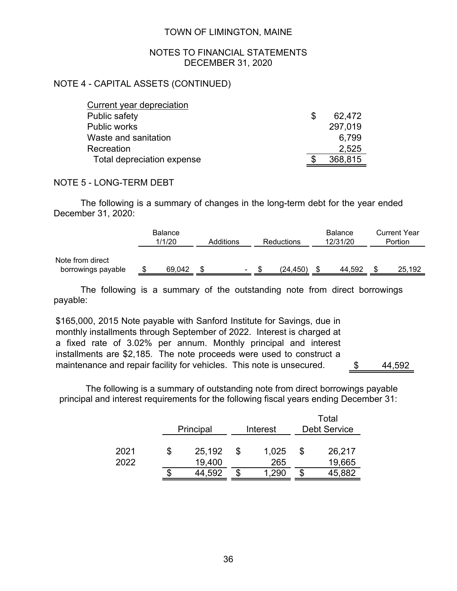#### NOTES TO FINANCIAL STATEMENTS DECEMBER 31, 2020

## NOTE 4 - CAPITAL ASSETS (CONTINUED)

| Current year depreciation  |     |         |
|----------------------------|-----|---------|
| Public safety              | \$. | 62.472  |
| Public works               |     | 297,019 |
| Waste and sanitation       |     | 6.799   |
| Recreation                 |     | 2.525   |
| Total depreciation expense | \$. | 368,815 |

#### NOTE 5 - LONG-TERM DEBT

The following is a summary of changes in the long-term debt for the year ended December 31, 2020:

|                                        | <b>Balance</b><br>1/1/20 | Additions |                | <b>Reductions</b> | <b>Balance</b><br>12/31/20 | <b>Current Year</b><br>Portion |
|----------------------------------------|--------------------------|-----------|----------------|-------------------|----------------------------|--------------------------------|
| Note from direct<br>borrowings payable | 69.042                   | \$        | $\blacksquare$ | (24,450)          | 44.592                     | 25,192                         |

 The following is a summary of the outstanding note from direct borrowings payable:

\$165,000, 2015 Note payable with Sanford Institute for Savings, due in monthly installments through September of 2022. Interest is charged at a fixed rate of 3.02% per annum. Monthly principal and interest installments are \$2,185. The note proceeds were used to construct a maintenance and repair facility for vehicles. This note is unsecured.  $\$\$$  44,592

 The following is a summary of outstanding note from direct borrowings payable principal and interest requirements for the following fiscal years ending December 31:

|      |              |   |          |  | Total               |
|------|--------------|---|----------|--|---------------------|
|      | Principal    |   | Interest |  | <b>Debt Service</b> |
|      |              |   |          |  |                     |
| 2021 | \$<br>25,192 | S | 1,025    |  | 26,217              |
| 2022 | 19,400       |   | 265      |  | 19,665              |
|      | \$<br>44,592 |   | 1,290    |  | 45,882              |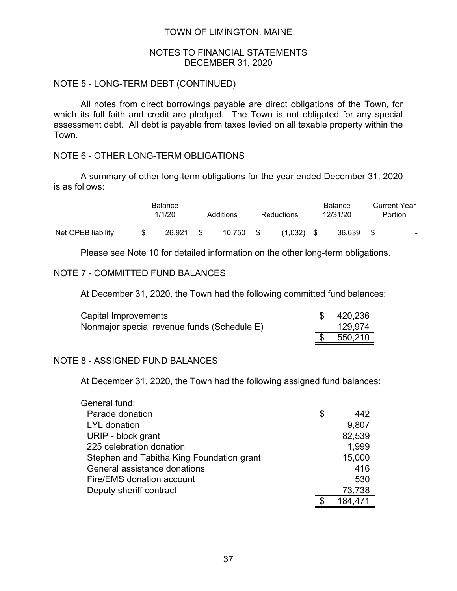#### NOTES TO FINANCIAL STATEMENTS DECEMBER 31, 2020

## NOTE 5 - LONG-TERM DEBT (CONTINUED)

All notes from direct borrowings payable are direct obligations of the Town, for which its full faith and credit are pledged. The Town is not obligated for any special assessment debt. All debt is payable from taxes levied on all taxable property within the Town.

## NOTE 6 - OTHER LONG-TERM OBLIGATIONS

 A summary of other long-term obligations for the year ended December 31, 2020 is as follows:

|                    | <b>Balance</b><br>1/1/20<br>Additions |        |    | Reductions | <b>Balance</b><br>12/31/20 |  | <b>Current Year</b><br>Portion |  |                |
|--------------------|---------------------------------------|--------|----|------------|----------------------------|--|--------------------------------|--|----------------|
| Net OPEB liability | \$                                    | 26.921 | \$ | 10.750     | .032`                      |  | 36,639                         |  | $\blacksquare$ |

Please see Note 10 for detailed information on the other long-term obligations.

#### NOTE 7 - COMMITTED FUND BALANCES

At December 31, 2020, the Town had the following committed fund balances:

| Capital Improvements                        | \$420,236 |
|---------------------------------------------|-----------|
| Nonmajor special revenue funds (Schedule E) | 129.974   |
|                                             | 550,210   |

## NOTE 8 - ASSIGNED FUND BALANCES

At December 31, 2020, the Town had the following assigned fund balances:

| General fund:                             |   |         |
|-------------------------------------------|---|---------|
| Parade donation                           | S | 442     |
| <b>LYL</b> donation                       |   | 9,807   |
| URIP - block grant                        |   | 82,539  |
| 225 celebration donation                  |   | 1,999   |
| Stephen and Tabitha King Foundation grant |   | 15,000  |
| General assistance donations              |   | 416     |
| Fire/EMS donation account                 |   | 530     |
| Deputy sheriff contract                   |   | 73,738  |
|                                           |   | 184,471 |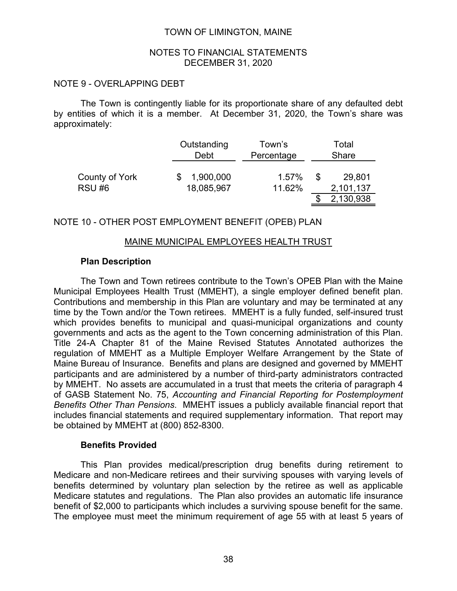#### NOTES TO FINANCIAL STATEMENTS DECEMBER 31, 2020

#### NOTE 9 - OVERLAPPING DEBT

 The Town is contingently liable for its proportionate share of any defaulted debt by entities of which it is a member. At December 31, 2020, the Town's share was approximately:

|                | Outstanding | Town's     | Total     |
|----------------|-------------|------------|-----------|
|                | Debt        | Percentage | Share     |
|                |             |            |           |
| County of York | 1,900,000   | 1.57%      | 29,801    |
| RSU#6          | 18,085,967  | 11.62%     | 2,101,137 |
|                |             |            | 2,130,938 |

## NOTE 10 - OTHER POST EMPLOYMENT BENEFIT (OPEB) PLAN

## MAINE MUNICIPAL EMPLOYEES HEALTH TRUST

## **Plan Description**

 The Town and Town retirees contribute to the Town's OPEB Plan with the Maine Municipal Employees Health Trust (MMEHT), a single employer defined benefit plan. Contributions and membership in this Plan are voluntary and may be terminated at any time by the Town and/or the Town retirees. MMEHT is a fully funded, self-insured trust which provides benefits to municipal and quasi-municipal organizations and county governments and acts as the agent to the Town concerning administration of this Plan. Title 24-A Chapter 81 of the Maine Revised Statutes Annotated authorizes the regulation of MMEHT as a Multiple Employer Welfare Arrangement by the State of Maine Bureau of Insurance. Benefits and plans are designed and governed by MMEHT participants and are administered by a number of third-party administrators contracted by MMEHT. No assets are accumulated in a trust that meets the criteria of paragraph 4 of GASB Statement No. 75, *Accounting and Financial Reporting for Postemployment Benefits Other Than Pensions*. MMEHT issues a publicly available financial report that includes financial statements and required supplementary information. That report may be obtained by MMEHT at (800) 852-8300.

#### **Benefits Provided**

This Plan provides medical/prescription drug benefits during retirement to Medicare and non-Medicare retirees and their surviving spouses with varying levels of benefits determined by voluntary plan selection by the retiree as well as applicable Medicare statutes and regulations. The Plan also provides an automatic life insurance benefit of \$2,000 to participants which includes a surviving spouse benefit for the same. The employee must meet the minimum requirement of age 55 with at least 5 years of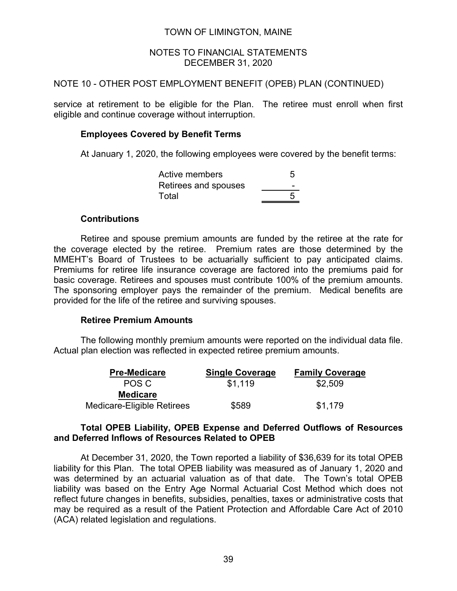## NOTES TO FINANCIAL STATEMENTS DECEMBER 31, 2020

## NOTE 10 - OTHER POST EMPLOYMENT BENEFIT (OPEB) PLAN (CONTINUED)

service at retirement to be eligible for the Plan. The retiree must enroll when first eligible and continue coverage without interruption.

## **Employees Covered by Benefit Terms**

At January 1, 2020, the following employees were covered by the benefit terms:

| Active members       | 5 |
|----------------------|---|
| Retirees and spouses |   |
| Total                | 5 |

## **Contributions**

Retiree and spouse premium amounts are funded by the retiree at the rate for the coverage elected by the retiree. Premium rates are those determined by the MMEHT's Board of Trustees to be actuarially sufficient to pay anticipated claims. Premiums for retiree life insurance coverage are factored into the premiums paid for basic coverage. Retirees and spouses must contribute 100% of the premium amounts. The sponsoring employer pays the remainder of the premium. Medical benefits are provided for the life of the retiree and surviving spouses.

#### **Retiree Premium Amounts**

The following monthly premium amounts were reported on the individual data file. Actual plan election was reflected in expected retiree premium amounts.

| <b>Pre-Medicare</b>        | <b>Single Coverage</b> | <b>Family Coverage</b> |
|----------------------------|------------------------|------------------------|
| POS C                      | \$1.119                | \$2,509                |
| <b>Medicare</b>            |                        |                        |
| Medicare-Eligible Retirees | \$589                  | \$1.179                |

## **Total OPEB Liability, OPEB Expense and Deferred Outflows of Resources and Deferred Inflows of Resources Related to OPEB**

At December 31, 2020, the Town reported a liability of \$36,639 for its total OPEB liability for this Plan. The total OPEB liability was measured as of January 1, 2020 and was determined by an actuarial valuation as of that date. The Town's total OPEB liability was based on the Entry Age Normal Actuarial Cost Method which does not reflect future changes in benefits, subsidies, penalties, taxes or administrative costs that may be required as a result of the Patient Protection and Affordable Care Act of 2010 (ACA) related legislation and regulations.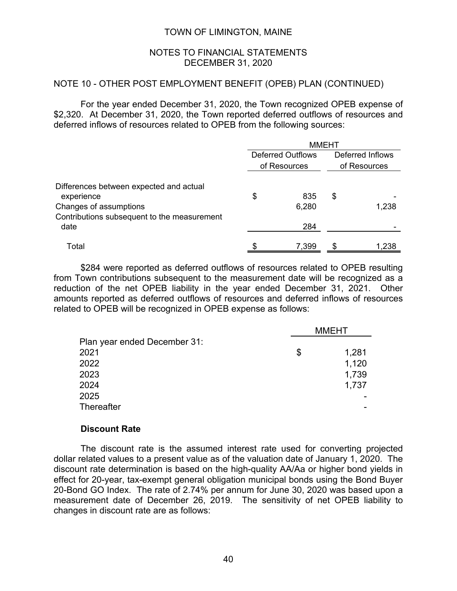## NOTES TO FINANCIAL STATEMENTS DECEMBER 31, 2020

## NOTE 10 - OTHER POST EMPLOYMENT BENEFIT (OPEB) PLAN (CONTINUED)

For the year ended December 31, 2020, the Town recognized OPEB expense of \$2,320. At December 31, 2020, the Town reported deferred outflows of resources and deferred inflows of resources related to OPEB from the following sources:

|                                                                                                                                        | MMEHT                     |                  |       |  |  |  |  |
|----------------------------------------------------------------------------------------------------------------------------------------|---------------------------|------------------|-------|--|--|--|--|
|                                                                                                                                        | <b>Deferred Outflows</b>  | Deferred Inflows |       |  |  |  |  |
|                                                                                                                                        | of Resources              | of Resources     |       |  |  |  |  |
| Differences between expected and actual<br>experience<br>Changes of assumptions<br>Contributions subsequent to the measurement<br>date | \$<br>835<br>6,280<br>284 | \$               | 1,238 |  |  |  |  |
| Total                                                                                                                                  | 7,399                     |                  | 1,238 |  |  |  |  |

\$284 were reported as deferred outflows of resources related to OPEB resulting from Town contributions subsequent to the measurement date will be recognized as a reduction of the net OPEB liability in the year ended December 31, 2021. Other amounts reported as deferred outflows of resources and deferred inflows of resources related to OPEB will be recognized in OPEB expense as follows:

| <b>MMEHT</b> |
|--------------|
|              |
| \$<br>1,281  |
| 1,120        |
| 1,739        |
| 1,737        |
|              |
|              |
|              |

## **Discount Rate**

The discount rate is the assumed interest rate used for converting projected dollar related values to a present value as of the valuation date of January 1, 2020. The discount rate determination is based on the high-quality AA/Aa or higher bond yields in effect for 20-year, tax-exempt general obligation municipal bonds using the Bond Buyer 20-Bond GO Index. The rate of 2.74% per annum for June 30, 2020 was based upon a measurement date of December 26, 2019. The sensitivity of net OPEB liability to changes in discount rate are as follows: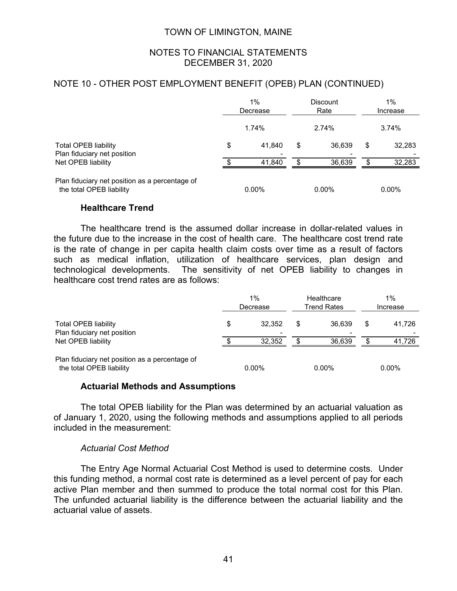## NOTES TO FINANCIAL STATEMENTS DECEMBER 31, 2020

# NOTE 10 - OTHER POST EMPLOYMENT BENEFIT (OPEB) PLAN (CONTINUED)

|                                                                            | $1\%$<br>Decrease |          |    | <b>Discount</b><br>Rate | $1\%$<br>Increase |          |  |
|----------------------------------------------------------------------------|-------------------|----------|----|-------------------------|-------------------|----------|--|
|                                                                            |                   | 1.74%    |    | 2.74%                   | 3.74%             |          |  |
| Total OPEB liability<br>Plan fiduciary net position                        | \$                | 41.840   | \$ | 36,639                  | \$                | 32,283   |  |
| Net OPEB liability                                                         | \$.               | 41.840   | \$ | 36,639                  | S.                | 32,283   |  |
| Plan fiduciary net position as a percentage of<br>the total OPEB liability |                   | $0.00\%$ |    | $0.00\%$                |                   | $0.00\%$ |  |

#### **Healthcare Trend**

 The healthcare trend is the assumed dollar increase in dollar-related values in the future due to the increase in the cost of health care. The healthcare cost trend rate is the rate of change in per capita health claim costs over time as a result of factors such as medical inflation, utilization of healthcare services, plan design and technological developments. The sensitivity of net OPEB liability to changes in healthcare cost trend rates are as follows:

|                                                                      | 1%<br>Decrease         | Healthcare<br><b>Trend Rates</b> | $1\%$<br>Increase |                    |  |
|----------------------------------------------------------------------|------------------------|----------------------------------|-------------------|--------------------|--|
| <b>Total OPEB liability</b><br>Plan fiduciary net position           | \$<br>32.352<br>32.352 | \$<br>36.639<br>36.639           | \$                | 41,726             |  |
| Net OPEB liability<br>Plan fiduciary net position as a percentage of |                        |                                  |                   | 41,726<br>$0.00\%$ |  |
| the total OPEB liability                                             | $0.00\%$               | $0.00\%$                         |                   |                    |  |

#### **Actuarial Methods and Assumptions**

The total OPEB liability for the Plan was determined by an actuarial valuation as of January 1, 2020, using the following methods and assumptions applied to all periods included in the measurement:

#### *Actuarial Cost Method*

The Entry Age Normal Actuarial Cost Method is used to determine costs. Under this funding method, a normal cost rate is determined as a level percent of pay for each active Plan member and then summed to produce the total normal cost for this Plan. The unfunded actuarial liability is the difference between the actuarial liability and the actuarial value of assets.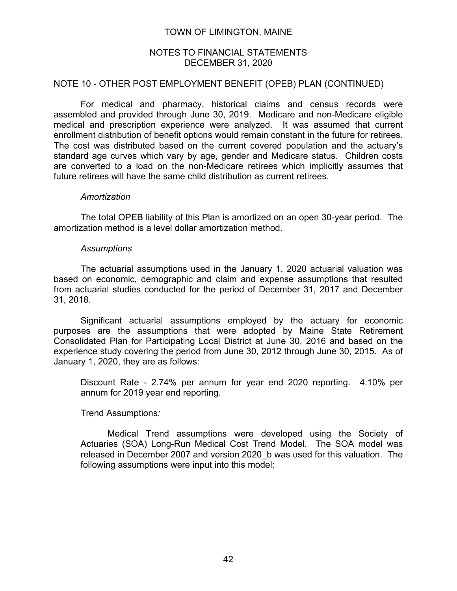## NOTES TO FINANCIAL STATEMENTS DECEMBER 31, 2020

#### NOTE 10 - OTHER POST EMPLOYMENT BENEFIT (OPEB) PLAN (CONTINUED)

For medical and pharmacy, historical claims and census records were assembled and provided through June 30, 2019. Medicare and non-Medicare eligible medical and prescription experience were analyzed. It was assumed that current enrollment distribution of benefit options would remain constant in the future for retirees. The cost was distributed based on the current covered population and the actuary's standard age curves which vary by age, gender and Medicare status. Children costs are converted to a load on the non-Medicare retirees which implicitly assumes that future retirees will have the same child distribution as current retirees.

#### *Amortization*

The total OPEB liability of this Plan is amortized on an open 30-year period. The amortization method is a level dollar amortization method.

#### *Assumptions*

The actuarial assumptions used in the January 1, 2020 actuarial valuation was based on economic, demographic and claim and expense assumptions that resulted from actuarial studies conducted for the period of December 31, 2017 and December 31, 2018.

Significant actuarial assumptions employed by the actuary for economic purposes are the assumptions that were adopted by Maine State Retirement Consolidated Plan for Participating Local District at June 30, 2016 and based on the experience study covering the period from June 30, 2012 through June 30, 2015. As of January 1, 2020, they are as follows:

Discount Rate - 2.74% per annum for year end 2020 reporting. 4.10% per annum for 2019 year end reporting.

#### Trend Assumptions*:*

 Medical Trend assumptions were developed using the Society of Actuaries (SOA) Long-Run Medical Cost Trend Model. The SOA model was released in December 2007 and version 2020\_b was used for this valuation. The following assumptions were input into this model: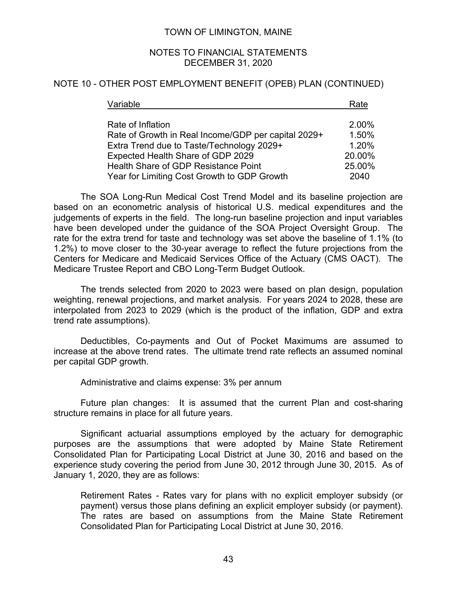#### NOTES TO FINANCIAL STATEMENTS DECEMBER 31, 2020

## NOTE 10 - OTHER POST EMPLOYMENT BENEFIT (OPEB) PLAN (CONTINUED)

| Variable                                            | Rate   |
|-----------------------------------------------------|--------|
| Rate of Inflation                                   | 2.00%  |
| Rate of Growth in Real Income/GDP per capital 2029+ | 1.50%  |
| Extra Trend due to Taste/Technology 2029+           | 1.20%  |
| Expected Health Share of GDP 2029                   | 20.00% |
| Health Share of GDP Resistance Point                | 25.00% |
| Year for Limiting Cost Growth to GDP Growth         | 2040   |

 The SOA Long-Run Medical Cost Trend Model and its baseline projection are based on an econometric analysis of historical U.S. medical expenditures and the judgements of experts in the field. The long-run baseline projection and input variables have been developed under the guidance of the SOA Project Oversight Group. The rate for the extra trend for taste and technology was set above the baseline of 1.1% (to 1.2%) to move closer to the 30-year average to reflect the future projections from the Centers for Medicare and Medicaid Services Office of the Actuary (CMS OACT). The Medicare Trustee Report and CBO Long-Term Budget Outlook.

 The trends selected from 2020 to 2023 were based on plan design, population weighting, renewal projections, and market analysis. For years 2024 to 2028, these are interpolated from 2023 to 2029 (which is the product of the inflation, GDP and extra trend rate assumptions).

 Deductibles, Co-payments and Out of Pocket Maximums are assumed to increase at the above trend rates. The ultimate trend rate reflects an assumed nominal per capital GDP growth.

Administrative and claims expense: 3% per annum

 Future plan changes: It is assumed that the current Plan and cost-sharing structure remains in place for all future years.

Significant actuarial assumptions employed by the actuary for demographic purposes are the assumptions that were adopted by Maine State Retirement Consolidated Plan for Participating Local District at June 30, 2016 and based on the experience study covering the period from June 30, 2012 through June 30, 2015. As of January 1, 2020, they are as follows:

Retirement Rates *-* Rates vary for plans with no explicit employer subsidy (or payment) versus those plans defining an explicit employer subsidy (or payment). The rates are based on assumptions from the Maine State Retirement Consolidated Plan for Participating Local District at June 30, 2016.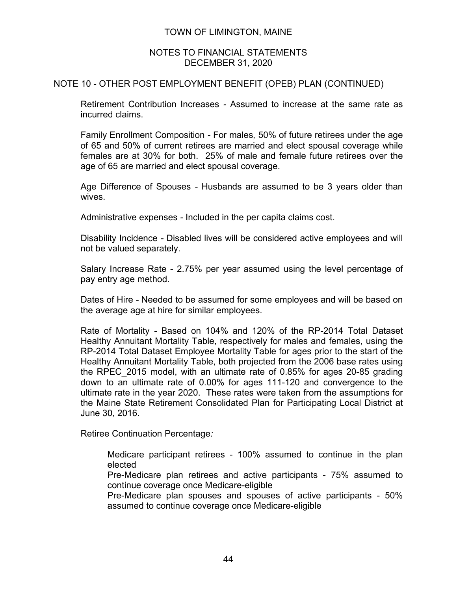## NOTES TO FINANCIAL STATEMENTS DECEMBER 31, 2020

## NOTE 10 - OTHER POST EMPLOYMENT BENEFIT (OPEB) PLAN (CONTINUED)

Retirement Contribution Increases *-* Assumed to increase at the same rate as incurred claims.

Family Enrollment Composition *-* For males*,* 50% of future retirees under the age of 65 and 50% of current retirees are married and elect spousal coverage while females are at 30% for both. 25% of male and female future retirees over the age of 65 are married and elect spousal coverage.

Age Difference of Spouses *-* Husbands are assumed to be 3 years older than wives.

Administrative expenses *-* Included in the per capita claims cost.

Disability Incidence *-* Disabled lives will be considered active employees and will not be valued separately.

Salary Increase Rate - 2.75% per year assumed using the level percentage of pay entry age method.

Dates of Hire *-* Needed to be assumed for some employees and will be based on the average age at hire for similar employees.

Rate of Mortality *-* Based on 104% and 120% of the RP-2014 Total Dataset Healthy Annuitant Mortality Table, respectively for males and females, using the RP-2014 Total Dataset Employee Mortality Table for ages prior to the start of the Healthy Annuitant Mortality Table, both projected from the 2006 base rates using the RPEC\_2015 model, with an ultimate rate of 0.85% for ages 20-85 grading down to an ultimate rate of 0.00% for ages 111-120 and convergence to the ultimate rate in the year 2020. These rates were taken from the assumptions for the Maine State Retirement Consolidated Plan for Participating Local District at June 30, 2016.

Retiree Continuation Percentage*:* 

Medicare participant retirees - 100% assumed to continue in the plan elected

Pre-Medicare plan retirees and active participants - 75% assumed to continue coverage once Medicare-eligible

Pre-Medicare plan spouses and spouses of active participants - 50% assumed to continue coverage once Medicare-eligible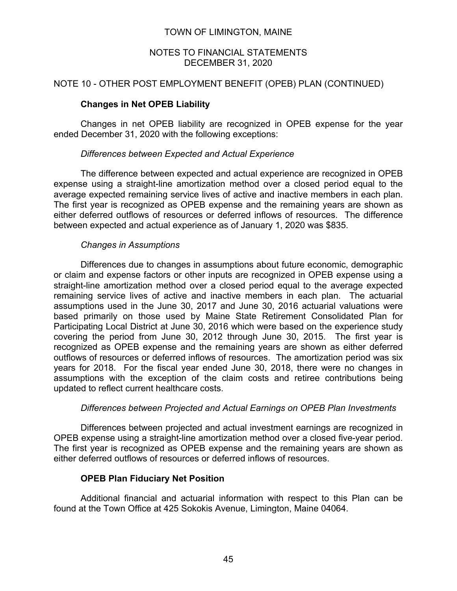## NOTES TO FINANCIAL STATEMENTS DECEMBER 31, 2020

## NOTE 10 - OTHER POST EMPLOYMENT BENEFIT (OPEB) PLAN (CONTINUED)

## **Changes in Net OPEB Liability**

Changes in net OPEB liability are recognized in OPEB expense for the year ended December 31, 2020 with the following exceptions:

## *Differences between Expected and Actual Experience*

The difference between expected and actual experience are recognized in OPEB expense using a straight-line amortization method over a closed period equal to the average expected remaining service lives of active and inactive members in each plan. The first year is recognized as OPEB expense and the remaining years are shown as either deferred outflows of resources or deferred inflows of resources. The difference between expected and actual experience as of January 1, 2020 was \$835.

## *Changes in Assumptions*

Differences due to changes in assumptions about future economic, demographic or claim and expense factors or other inputs are recognized in OPEB expense using a straight-line amortization method over a closed period equal to the average expected remaining service lives of active and inactive members in each plan. The actuarial assumptions used in the June 30, 2017 and June 30, 2016 actuarial valuations were based primarily on those used by Maine State Retirement Consolidated Plan for Participating Local District at June 30, 2016 which were based on the experience study covering the period from June 30, 2012 through June 30, 2015. The first year is recognized as OPEB expense and the remaining years are shown as either deferred outflows of resources or deferred inflows of resources. The amortization period was six years for 2018. For the fiscal year ended June 30, 2018, there were no changes in assumptions with the exception of the claim costs and retiree contributions being updated to reflect current healthcare costs.

## *Differences between Projected and Actual Earnings on OPEB Plan Investments*

Differences between projected and actual investment earnings are recognized in OPEB expense using a straight-line amortization method over a closed five-year period. The first year is recognized as OPEB expense and the remaining years are shown as either deferred outflows of resources or deferred inflows of resources.

## **OPEB Plan Fiduciary Net Position**

 Additional financial and actuarial information with respect to this Plan can be found at the Town Office at 425 Sokokis Avenue, Limington, Maine 04064.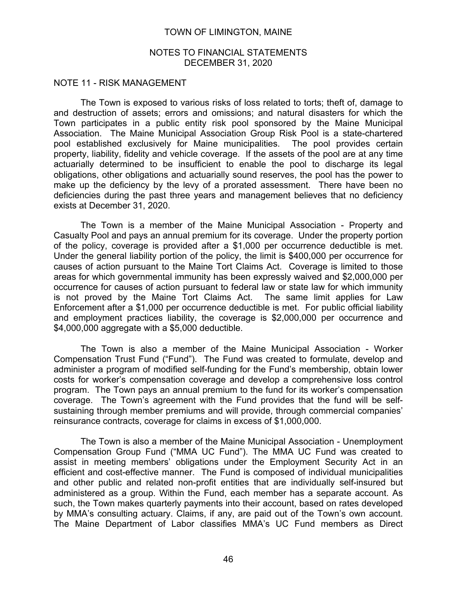#### NOTES TO FINANCIAL STATEMENTS DECEMBER 31, 2020

#### NOTE 11 - RISK MANAGEMENT

 The Town is exposed to various risks of loss related to torts; theft of, damage to and destruction of assets; errors and omissions; and natural disasters for which the Town participates in a public entity risk pool sponsored by the Maine Municipal Association. The Maine Municipal Association Group Risk Pool is a state-chartered pool established exclusively for Maine municipalities. The pool provides certain property, liability, fidelity and vehicle coverage. If the assets of the pool are at any time actuarially determined to be insufficient to enable the pool to discharge its legal obligations, other obligations and actuarially sound reserves, the pool has the power to make up the deficiency by the levy of a prorated assessment. There have been no deficiencies during the past three years and management believes that no deficiency exists at December 31, 2020.

The Town is a member of the Maine Municipal Association - Property and Casualty Pool and pays an annual premium for its coverage. Under the property portion of the policy, coverage is provided after a \$1,000 per occurrence deductible is met. Under the general liability portion of the policy, the limit is \$400,000 per occurrence for causes of action pursuant to the Maine Tort Claims Act. Coverage is limited to those areas for which governmental immunity has been expressly waived and \$2,000,000 per occurrence for causes of action pursuant to federal law or state law for which immunity is not proved by the Maine Tort Claims Act. The same limit applies for Law Enforcement after a \$1,000 per occurrence deductible is met. For public official liability and employment practices liability, the coverage is \$2,000,000 per occurrence and \$4,000,000 aggregate with a \$5,000 deductible.

The Town is also a member of the Maine Municipal Association - Worker Compensation Trust Fund ("Fund"). The Fund was created to formulate, develop and administer a program of modified self-funding for the Fund's membership, obtain lower costs for worker's compensation coverage and develop a comprehensive loss control program. The Town pays an annual premium to the fund for its worker's compensation coverage. The Town's agreement with the Fund provides that the fund will be selfsustaining through member premiums and will provide, through commercial companies' reinsurance contracts, coverage for claims in excess of \$1,000,000.

The Town is also a member of the Maine Municipal Association - Unemployment Compensation Group Fund ("MMA UC Fund"). The MMA UC Fund was created to assist in meeting members' obligations under the Employment Security Act in an efficient and cost-effective manner. The Fund is composed of individual municipalities and other public and related non-profit entities that are individually self-insured but administered as a group. Within the Fund, each member has a separate account. As such, the Town makes quarterly payments into their account, based on rates developed by MMA's consulting actuary. Claims, if any, are paid out of the Town's own account. The Maine Department of Labor classifies MMA's UC Fund members as Direct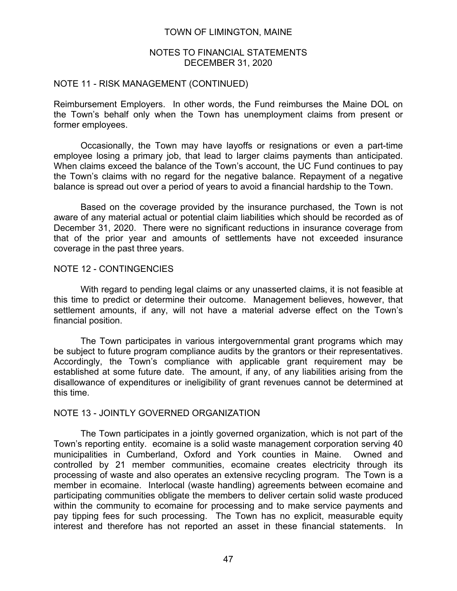#### NOTES TO FINANCIAL STATEMENTS DECEMBER 31, 2020

#### NOTE 11 - RISK MANAGEMENT (CONTINUED)

Reimbursement Employers. In other words, the Fund reimburses the Maine DOL on the Town's behalf only when the Town has unemployment claims from present or former employees.

Occasionally, the Town may have layoffs or resignations or even a part-time employee losing a primary job, that lead to larger claims payments than anticipated. When claims exceed the balance of the Town's account, the UC Fund continues to pay the Town's claims with no regard for the negative balance. Repayment of a negative balance is spread out over a period of years to avoid a financial hardship to the Town.

 Based on the coverage provided by the insurance purchased, the Town is not aware of any material actual or potential claim liabilities which should be recorded as of December 31, 2020. There were no significant reductions in insurance coverage from that of the prior year and amounts of settlements have not exceeded insurance coverage in the past three years.

## NOTE 12 - CONTINGENCIES

 With regard to pending legal claims or any unasserted claims, it is not feasible at this time to predict or determine their outcome. Management believes, however, that settlement amounts, if any, will not have a material adverse effect on the Town's financial position.

The Town participates in various intergovernmental grant programs which may be subject to future program compliance audits by the grantors or their representatives. Accordingly, the Town's compliance with applicable grant requirement may be established at some future date. The amount, if any, of any liabilities arising from the disallowance of expenditures or ineligibility of grant revenues cannot be determined at this time.

## NOTE 13 - JOINTLY GOVERNED ORGANIZATION

 The Town participates in a jointly governed organization, which is not part of the Town's reporting entity. ecomaine is a solid waste management corporation serving 40 municipalities in Cumberland, Oxford and York counties in Maine. Owned and controlled by 21 member communities, ecomaine creates electricity through its processing of waste and also operates an extensive recycling program. The Town is a member in ecomaine. Interlocal (waste handling) agreements between ecomaine and participating communities obligate the members to deliver certain solid waste produced within the community to ecomaine for processing and to make service payments and pay tipping fees for such processing. The Town has no explicit, measurable equity interest and therefore has not reported an asset in these financial statements. In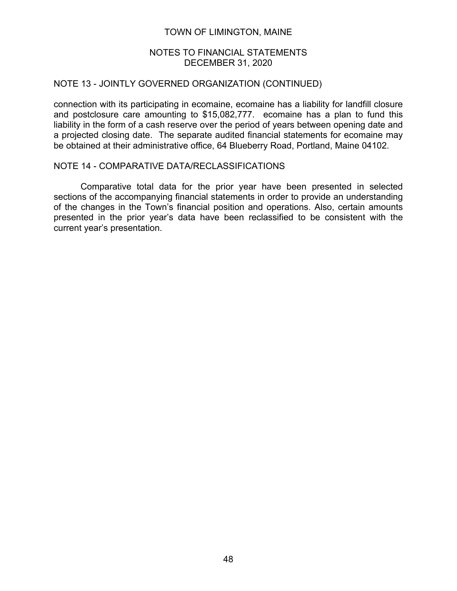### NOTES TO FINANCIAL STATEMENTS DECEMBER 31, 2020

#### NOTE 13 - JOINTLY GOVERNED ORGANIZATION (CONTINUED)

connection with its participating in ecomaine, ecomaine has a liability for landfill closure and postclosure care amounting to \$15,082,777. ecomaine has a plan to fund this liability in the form of a cash reserve over the period of years between opening date and a projected closing date. The separate audited financial statements for ecomaine may be obtained at their administrative office, 64 Blueberry Road, Portland, Maine 04102.

## NOTE 14 - COMPARATIVE DATA/RECLASSIFICATIONS

Comparative total data for the prior year have been presented in selected sections of the accompanying financial statements in order to provide an understanding of the changes in the Town's financial position and operations. Also, certain amounts presented in the prior year's data have been reclassified to be consistent with the current year's presentation.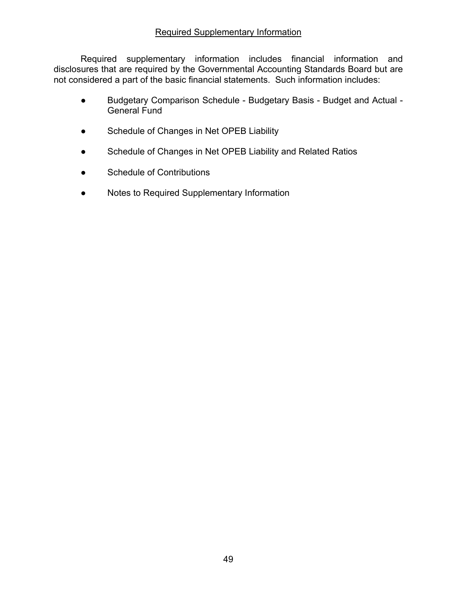## Required Supplementary Information

Required supplementary information includes financial information and disclosures that are required by the Governmental Accounting Standards Board but are not considered a part of the basic financial statements. Such information includes:

- Budgetary Comparison Schedule Budgetary Basis Budget and Actual General Fund
- Schedule of Changes in Net OPEB Liability
- Schedule of Changes in Net OPEB Liability and Related Ratios
- Schedule of Contributions
- Notes to Required Supplementary Information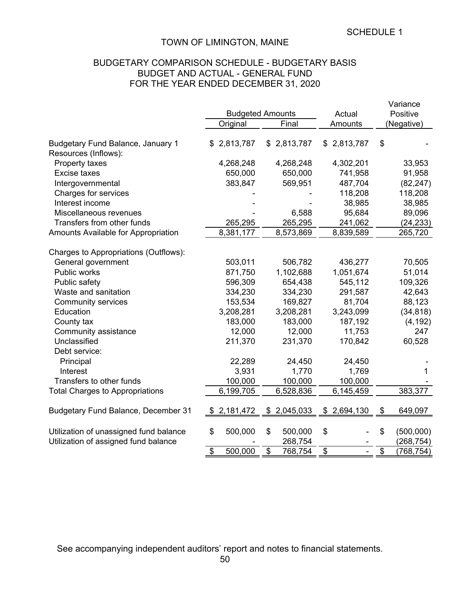## BUDGETARY COMPARISON SCHEDULE - BUDGETARY BASIS BUDGET AND ACTUAL - GENERAL FUND FOR THE YEAR ENDED DECEMBER 31, 2020

|                                                                  |                         |               |                      | Variance |            |  |
|------------------------------------------------------------------|-------------------------|---------------|----------------------|----------|------------|--|
|                                                                  | <b>Budgeted Amounts</b> |               | Actual               |          | Positive   |  |
|                                                                  | Original                | Final         | Amounts              |          | (Negative) |  |
| <b>Budgetary Fund Balance, January 1</b><br>Resources (Inflows): | \$2,813,787             | \$2,813,787   | \$2,813,787          | \$       |            |  |
| Property taxes                                                   | 4,268,248               | 4,268,248     | 4,302,201            |          | 33,953     |  |
| <b>Excise taxes</b>                                              | 650,000                 | 650,000       | 741,958              |          | 91,958     |  |
| Intergovernmental                                                | 383,847                 | 569,951       | 487,704              |          | (82, 247)  |  |
| Charges for services                                             |                         |               | 118,208              |          | 118,208    |  |
| Interest income                                                  |                         |               | 38,985               |          | 38,985     |  |
| Miscellaneous revenues                                           |                         | 6,588         | 95,684               |          | 89,096     |  |
| Transfers from other funds                                       | 265,295                 | 265,295       | 241,062              |          | (24, 233)  |  |
| Amounts Available for Appropriation                              | 8,381,177               | 8,573,869     | 8,839,589            |          | 265,720    |  |
| Charges to Appropriations (Outflows):                            |                         |               |                      |          |            |  |
| General government                                               | 503,011                 | 506,782       | 436,277              |          | 70,505     |  |
| Public works                                                     | 871,750                 | 1,102,688     | 1,051,674            |          | 51,014     |  |
| Public safety                                                    | 596,309                 | 654,438       | 545,112              |          | 109,326    |  |
| Waste and sanitation                                             | 334,230                 | 334,230       | 291,587              |          | 42,643     |  |
| <b>Community services</b>                                        | 153,534                 | 169,827       | 81,704               |          | 88,123     |  |
| Education                                                        | 3,208,281               | 3,208,281     | 3,243,099            |          | (34, 818)  |  |
| County tax                                                       | 183,000                 | 183,000       | 187,192              |          | (4, 192)   |  |
| Community assistance                                             | 12,000                  | 12,000        | 11,753               |          | 247        |  |
| Unclassified                                                     | 211,370                 | 231,370       | 170,842              |          | 60,528     |  |
| Debt service:                                                    |                         |               |                      |          |            |  |
| Principal                                                        | 22,289                  | 24,450        | 24,450               |          |            |  |
| Interest                                                         | 3,931                   | 1,770         | 1,769                |          | 1          |  |
| Transfers to other funds                                         | 100,000                 | 100,000       | 100,000              |          |            |  |
| <b>Total Charges to Appropriations</b>                           | 6,199,705               | 6,528,836     | 6,145,459            |          | 383,377    |  |
| <b>Budgetary Fund Balance, December 31</b>                       | \$2,181,472             | \$2,045,033   | \$<br>2,694,130      | \$       | 649,097    |  |
| Utilization of unassigned fund balance                           | \$<br>500,000           | \$<br>500,000 | \$                   | \$       | (500,000)  |  |
| Utilization of assigned fund balance                             |                         | 268,754       |                      |          | (268, 754) |  |
|                                                                  | \$<br>500,000           | \$<br>768,754 | \$<br>$\overline{a}$ | \$       | (768, 754) |  |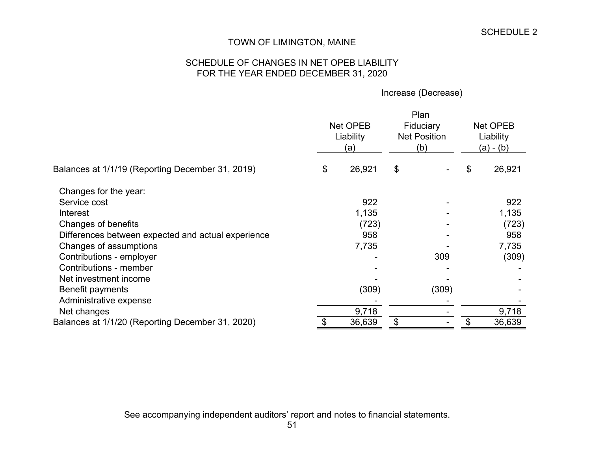#### SCHEDULE OF CHANGES IN NET OPEB LIABILITY FOR THE YEAR ENDED DECEMBER 31, 2020

Increase (Decrease)

|                                                    | Plan |           |    |                     |           |           |  |  |  |  |
|----------------------------------------------------|------|-----------|----|---------------------|-----------|-----------|--|--|--|--|
|                                                    |      | Net OPEB  |    | Fiduciary           |           | Net OPEB  |  |  |  |  |
|                                                    |      | Liability |    | <b>Net Position</b> | Liability |           |  |  |  |  |
|                                                    |      | (a)       |    | (b)                 |           | (a) - (b) |  |  |  |  |
| Balances at 1/1/19 (Reporting December 31, 2019)   | \$   | 26,921    | \$ |                     | \$        | 26,921    |  |  |  |  |
| Changes for the year:                              |      |           |    |                     |           |           |  |  |  |  |
| Service cost                                       |      | 922       |    |                     |           | 922       |  |  |  |  |
| Interest                                           |      | 1,135     |    |                     |           | 1,135     |  |  |  |  |
| Changes of benefits                                |      | (723)     |    |                     |           | (723)     |  |  |  |  |
| Differences between expected and actual experience |      | 958       |    |                     |           | 958       |  |  |  |  |
| Changes of assumptions                             |      | 7,735     |    |                     |           | 7,735     |  |  |  |  |
| Contributions - employer                           |      |           |    | 309                 |           | (309)     |  |  |  |  |
| Contributions - member                             |      |           |    |                     |           |           |  |  |  |  |
| Net investment income                              |      |           |    |                     |           |           |  |  |  |  |
| Benefit payments                                   |      | (309)     |    | (309)               |           |           |  |  |  |  |
| Administrative expense                             |      |           |    |                     |           |           |  |  |  |  |
| Net changes                                        |      | 9,718     |    |                     |           | 9,718     |  |  |  |  |
| Balances at 1/1/20 (Reporting December 31, 2020)   |      | 36,639    | \$ |                     |           | 36,639    |  |  |  |  |
|                                                    |      |           |    |                     |           |           |  |  |  |  |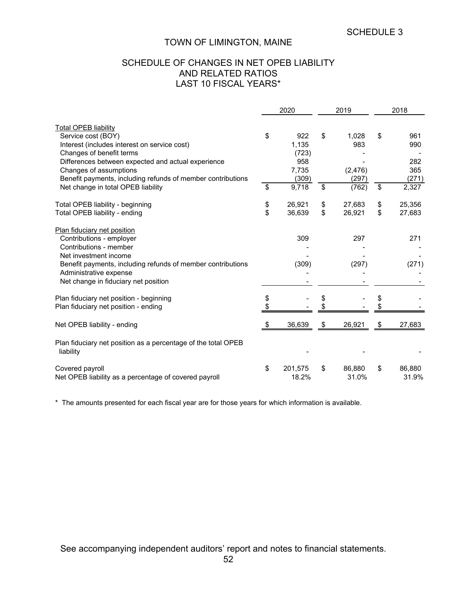## SCHEDULE OF CHANGES IN NET OPEB LIABILITY AND RELATED RATIOS LAST 10 FISCAL YEARS\*

|                                                                            | 2020 |         | 2019 |          | 2018 |        |
|----------------------------------------------------------------------------|------|---------|------|----------|------|--------|
| <b>Total OPEB liability</b>                                                |      |         |      |          |      |        |
| Service cost (BOY)                                                         | \$   | 922     | \$   | 1,028    | \$   | 961    |
| Interest (includes interest on service cost)                               |      | 1,135   |      | 983      |      | 990    |
| Changes of benefit terms                                                   |      | (723)   |      |          |      |        |
| Differences between expected and actual experience                         |      | 958     |      |          |      | 282    |
| Changes of assumptions                                                     |      | 7,735   |      | (2, 476) |      | 365    |
| Benefit payments, including refunds of member contributions                |      | (309)   |      | (297)    |      | (271)  |
| Net change in total OPEB liability                                         | \$   | 9,718   | \$   | (762)    | \$   | 2,327  |
| Total OPEB liability - beginning                                           | \$   | 26,921  | \$   | 27,683   | \$   | 25,356 |
| Total OPEB liability - ending                                              | \$   | 36,639  | \$   | 26,921   | \$   | 27,683 |
| Plan fiduciary net position                                                |      |         |      |          |      |        |
| Contributions - employer                                                   |      | 309     |      | 297      |      | 271    |
| Contributions - member                                                     |      |         |      |          |      |        |
| Net investment income                                                      |      |         |      |          |      |        |
| Benefit payments, including refunds of member contributions                |      | (309)   |      | (297)    |      | (271)  |
| Administrative expense                                                     |      |         |      |          |      |        |
| Net change in fiduciary net position                                       |      |         |      |          |      |        |
| Plan fiduciary net position - beginning                                    | \$   |         | \$   |          | \$   |        |
| Plan fiduciary net position - ending                                       |      |         |      |          |      |        |
| Net OPEB liability - ending                                                | S    | 36,639  | \$   | 26,921   | \$   | 27,683 |
| Plan fiduciary net position as a percentage of the total OPEB<br>liability |      |         |      |          |      |        |
| Covered payroll                                                            | \$   | 201,575 | \$   | 86,880   | \$   | 86,880 |
| Net OPEB liability as a percentage of covered payroll                      |      | 18.2%   |      | 31.0%    |      | 31.9%  |

\* The amounts presented for each fiscal year are for those years for which information is available.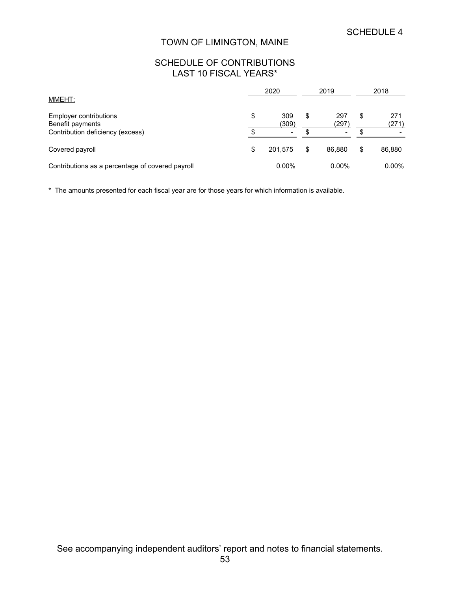# SCHEDULE OF CONTRIBUTIONS LAST 10 FISCAL YEARS\*

|                                                  | 2020 |          | 2019         |    | 2018     |  |
|--------------------------------------------------|------|----------|--------------|----|----------|--|
| MMEHT:                                           |      |          |              |    |          |  |
| <b>Employer contributions</b>                    | \$   | 309      | \$<br>297    | \$ | 271      |  |
| Benefit payments                                 |      | (309)    | (297)        |    | (271)    |  |
| Contribution deficiency (excess)                 |      |          |              |    |          |  |
| Covered payroll                                  | \$   | 201.575  | \$<br>86.880 | S  | 86,880   |  |
| Contributions as a percentage of covered payroll |      | $0.00\%$ | $0.00\%$     |    | $0.00\%$ |  |

\* The amounts presented for each fiscal year are for those years for which information is available.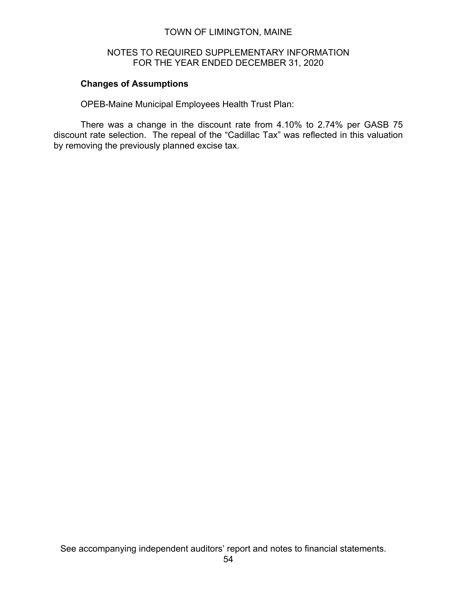## NOTES TO REQUIRED SUPPLEMENTARY INFORMATION FOR THE YEAR ENDED DECEMBER 31, 2020

## **Changes of Assumptions**

OPEB-Maine Municipal Employees Health Trust Plan:

 There was a change in the discount rate from 4.10% to 2.74% per GASB 75 discount rate selection. The repeal of the "Cadillac Tax" was reflected in this valuation by removing the previously planned excise tax.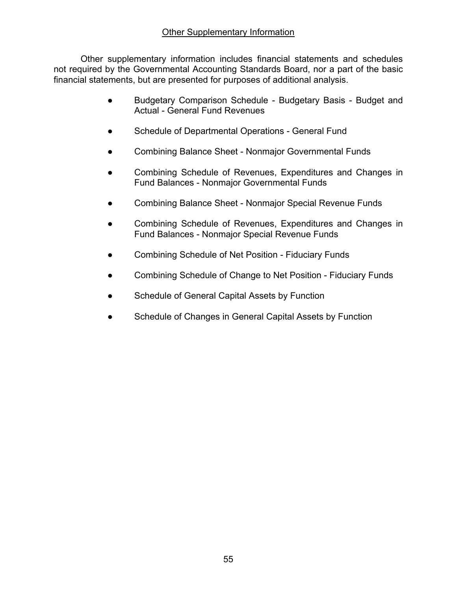## Other Supplementary Information

 Other supplementary information includes financial statements and schedules not required by the Governmental Accounting Standards Board, nor a part of the basic financial statements, but are presented for purposes of additional analysis.

- Budgetary Comparison Schedule Budgetary Basis Budget and Actual - General Fund Revenues
- Schedule of Departmental Operations General Fund
- Combining Balance Sheet Nonmajor Governmental Funds
- Combining Schedule of Revenues, Expenditures and Changes in Fund Balances - Nonmajor Governmental Funds
- Combining Balance Sheet Nonmajor Special Revenue Funds
- Combining Schedule of Revenues, Expenditures and Changes in Fund Balances - Nonmajor Special Revenue Funds
- Combining Schedule of Net Position Fiduciary Funds
- Combining Schedule of Change to Net Position Fiduciary Funds
- Schedule of General Capital Assets by Function
- Schedule of Changes in General Capital Assets by Function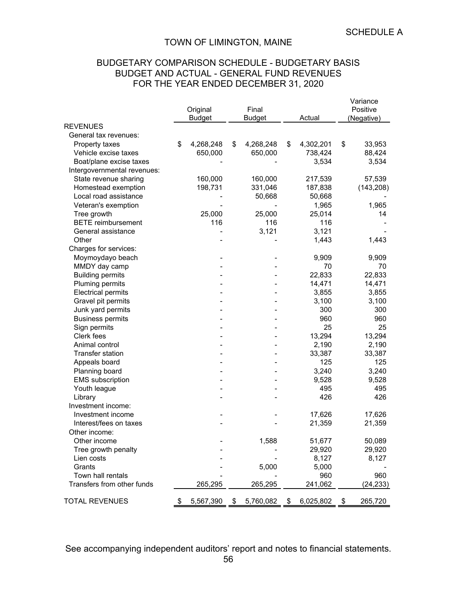# BUDGETARY COMPARISON SCHEDULE - BUDGETARY BASIS BUDGET AND ACTUAL - GENERAL FUND REVENUES FOR THE YEAR ENDED DECEMBER 31, 2020

| Original<br><b>Budget</b>   |    |              |    | Final<br><b>Budget</b> | Actual          | Variance<br>Positive<br>(Negative) |            |  |
|-----------------------------|----|--------------|----|------------------------|-----------------|------------------------------------|------------|--|
| <b>REVENUES</b>             |    |              |    |                        |                 |                                    |            |  |
| General tax revenues:       |    |              |    |                        |                 |                                    |            |  |
| Property taxes              | \$ | 4,268,248    | \$ | 4,268,248              | \$<br>4,302,201 | \$                                 | 33,953     |  |
| Vehicle excise taxes        |    | 650,000      |    | 650,000                | 738,424         |                                    | 88,424     |  |
| Boat/plane excise taxes     |    |              |    |                        | 3,534           |                                    | 3,534      |  |
| Intergovernmental revenues: |    |              |    |                        |                 |                                    |            |  |
| State revenue sharing       |    | 160,000      |    | 160,000                | 217,539         |                                    | 57,539     |  |
| Homestead exemption         |    | 198,731      |    | 331,046                | 187,838         |                                    | (143, 208) |  |
| Local road assistance       |    |              |    | 50,668                 | 50,668          |                                    |            |  |
| Veteran's exemption         |    |              |    |                        | 1,965           |                                    | 1,965      |  |
| Tree growth                 |    | 25,000       |    | 25,000                 | 25,014          |                                    | 14         |  |
| <b>BETE</b> reimbursement   |    | 116          |    | 116                    | 116             |                                    |            |  |
| General assistance          |    |              |    | 3,121                  | 3,121           |                                    |            |  |
| Other                       |    |              |    |                        | 1,443           |                                    | 1,443      |  |
| Charges for services:       |    |              |    |                        |                 |                                    |            |  |
| Moymoydayo beach            |    |              |    |                        | 9,909           |                                    | 9,909      |  |
| MMDY day camp               |    |              |    |                        | 70              |                                    | 70         |  |
| <b>Building permits</b>     |    |              |    |                        | 22,833          |                                    | 22,833     |  |
| Pluming permits             |    |              |    |                        | 14,471          |                                    | 14,471     |  |
| <b>Electrical permits</b>   |    |              |    |                        | 3,855           |                                    | 3,855      |  |
| Gravel pit permits          |    |              |    |                        | 3,100           |                                    | 3,100      |  |
| Junk yard permits           |    |              |    |                        | 300             |                                    | 300        |  |
| <b>Business permits</b>     |    |              |    |                        | 960             |                                    | 960        |  |
| Sign permits                |    |              |    |                        | 25              |                                    | 25         |  |
| Clerk fees                  |    |              |    |                        | 13,294          |                                    | 13,294     |  |
| Animal control              |    |              |    |                        | 2,190           |                                    | 2,190      |  |
| <b>Transfer station</b>     |    |              |    |                        | 33,387          |                                    | 33,387     |  |
| Appeals board               |    |              |    |                        | 125             |                                    | 125        |  |
| Planning board              |    |              |    |                        | 3,240           |                                    | 3,240      |  |
| <b>EMS</b> subscription     |    |              |    |                        | 9,528           |                                    | 9,528      |  |
| Youth league                |    |              |    |                        | 495             |                                    | 495        |  |
| Library                     |    |              |    |                        | 426             |                                    | 426        |  |
| Investment income:          |    |              |    |                        |                 |                                    |            |  |
| Investment income           |    |              |    |                        | 17,626          |                                    | 17,626     |  |
| Interest/fees on taxes      |    |              |    |                        | 21,359          |                                    | 21,359     |  |
| Other income:               |    |              |    |                        |                 |                                    |            |  |
| Other income                |    |              |    | 1,588                  | 51,677          |                                    | 50,089     |  |
| Tree growth penalty         |    |              |    |                        | 29,920          |                                    | 29,920     |  |
| Lien costs                  |    |              |    |                        | 8,127           |                                    | 8,127      |  |
| Grants                      |    |              |    | 5,000                  | 5,000           |                                    |            |  |
| Town hall rentals           |    |              |    |                        | 960             |                                    | 960        |  |
| Transfers from other funds  |    | 265,295      |    | 265,295                | 241,062         |                                    | (24, 233)  |  |
| <b>TOTAL REVENUES</b>       | \$ | 5,567,390 \$ |    | 5,760,082 \$           | $6,025,802$ \$  |                                    | 265,720    |  |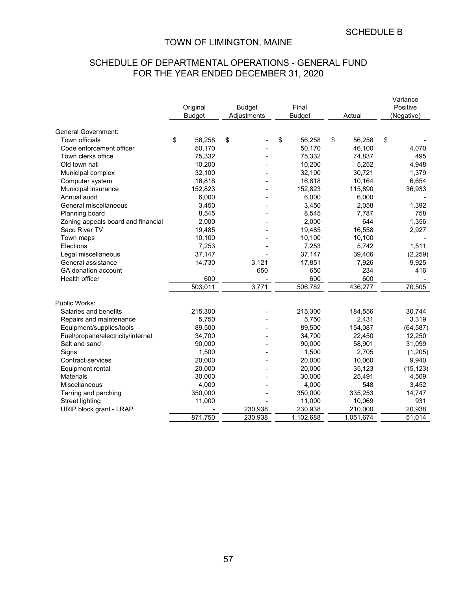# SCHEDULE OF DEPARTMENTAL OPERATIONS - GENERAL FUND FOR THE YEAR ENDED DECEMBER 31, 2020

|                                    | Original<br><b>Budget</b> |    | <b>Budget</b><br>Adjustments |    |           |    | Final<br><b>Budget</b> |    | Actual    |  | Variance<br>Positive<br>(Negative) |  |
|------------------------------------|---------------------------|----|------------------------------|----|-----------|----|------------------------|----|-----------|--|------------------------------------|--|
| <b>General Government:</b>         |                           |    |                              |    |           |    |                        |    |           |  |                                    |  |
| Town officials                     | \$<br>56,258              | \$ |                              | \$ | 56,258    | \$ | 56,258                 | \$ |           |  |                                    |  |
| Code enforcement officer           | 50,170                    |    |                              |    | 50,170    |    | 46,100                 |    | 4,070     |  |                                    |  |
| Town clerks office                 | 75,332                    |    |                              |    | 75,332    |    | 74,837                 |    | 495       |  |                                    |  |
| Old town hall                      | 10,200                    |    |                              |    | 10,200    |    | 5,252                  |    | 4,948     |  |                                    |  |
| Municipal complex                  | 32.100                    |    |                              |    | 32,100    |    | 30,721                 |    | 1,379     |  |                                    |  |
| Computer system                    | 16,818                    |    |                              |    | 16,818    |    | 10,164                 |    | 6,654     |  |                                    |  |
| Municipal insurance                | 152,823                   |    |                              |    | 152,823   |    | 115,890                |    | 36,933    |  |                                    |  |
| Annual audit                       | 6,000                     |    |                              |    | 6,000     |    | 6,000                  |    |           |  |                                    |  |
| General miscellaneous              | 3,450                     |    |                              |    | 3,450     |    | 2,058                  |    | 1,392     |  |                                    |  |
| Planning board                     | 8,545                     |    |                              |    | 8,545     |    | 7,787                  |    | 758       |  |                                    |  |
| Zoning appeals board and financial | 2,000                     |    |                              |    | 2,000     |    | 644                    |    | 1,356     |  |                                    |  |
| Saco River TV                      | 19,485                    |    |                              |    | 19,485    |    | 16,558                 |    | 2,927     |  |                                    |  |
| Town maps                          | 10,100                    |    |                              |    | 10,100    |    | 10,100                 |    |           |  |                                    |  |
| Elections                          | 7,253                     |    |                              |    | 7,253     |    | 5,742                  |    | 1,511     |  |                                    |  |
| Legal miscellaneous                | 37,147                    |    |                              |    | 37,147    |    | 39,406                 |    | (2, 259)  |  |                                    |  |
| General assistance                 | 14,730                    |    | 3,121                        |    | 17,851    |    | 7,926                  |    | 9,925     |  |                                    |  |
| GA donation account                |                           |    | 650                          |    | 650       |    | 234                    |    | 416       |  |                                    |  |
| Health officer                     | 600                       |    |                              |    | 600       |    | 600                    |    |           |  |                                    |  |
|                                    | 503,011                   |    | 3,771                        |    | 506,782   |    | 436,277                |    | 70,505    |  |                                    |  |
| Public Works:                      |                           |    |                              |    |           |    |                        |    |           |  |                                    |  |
| Salaries and benefits              | 215,300                   |    |                              |    | 215,300   |    | 184,556                |    | 30,744    |  |                                    |  |
| Repairs and maintenance            | 5,750                     |    |                              |    | 5,750     |    | 2,431                  |    | 3,319     |  |                                    |  |
| Equipment/supplies/tools           | 89,500                    |    |                              |    | 89,500    |    | 154,087                |    | (64, 587) |  |                                    |  |
| Fuel/propane/electricity/internet  | 34,700                    |    |                              |    | 34,700    |    | 22,450                 |    | 12,250    |  |                                    |  |
| Salt and sand                      | 90,000                    |    |                              |    | 90,000    |    | 58,901                 |    | 31,099    |  |                                    |  |
| Signs                              | 1,500                     |    |                              |    | 1,500     |    | 2,705                  |    | (1,205)   |  |                                    |  |
| Contract services                  | 20,000                    |    |                              |    | 20,000    |    | 10,060                 |    | 9,940     |  |                                    |  |
| Equipment rental                   | 20,000                    |    |                              |    | 20,000    |    | 35,123                 |    | (15, 123) |  |                                    |  |
| <b>Materials</b>                   | 30,000                    |    |                              |    | 30,000    |    | 25,491                 |    | 4,509     |  |                                    |  |
| Miscellaneous                      | 4,000                     |    |                              |    | 4,000     |    | 548                    |    | 3,452     |  |                                    |  |
| Tarring and parching               | 350,000                   |    |                              |    | 350,000   |    | 335,253                |    | 14,747    |  |                                    |  |
| <b>Street lighting</b>             | 11,000                    |    |                              |    | 11,000    |    | 10,069                 |    | 931       |  |                                    |  |
| URIP block grant - LRAP            |                           |    | 230,938                      |    | 230,938   |    | 210,000                |    | 20,938    |  |                                    |  |
|                                    | 871,750                   |    | 230,938                      |    | 1,102,688 |    | 1,051,674              |    | 51,014    |  |                                    |  |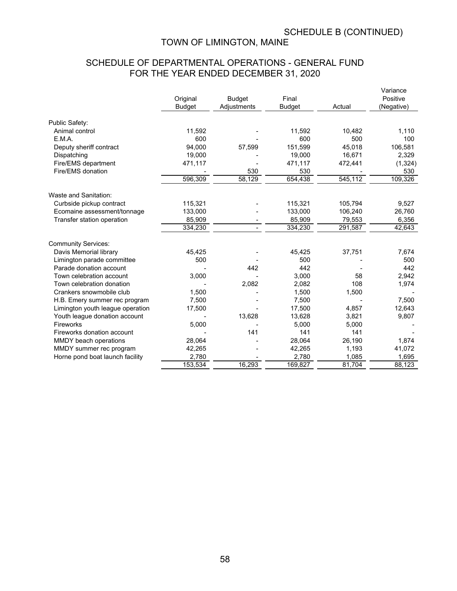# SCHEDULE OF DEPARTMENTAL OPERATIONS - GENERAL FUND FOR THE YEAR ENDED DECEMBER 31, 2020

|                                  | Original<br><b>Budget</b><br>Adjustments |                | Final<br><b>Budget</b> | Actual  | Variance<br>Positive<br>(Negative) |  |  |
|----------------------------------|------------------------------------------|----------------|------------------------|---------|------------------------------------|--|--|
| Public Safety:                   |                                          |                |                        |         |                                    |  |  |
| Animal control                   | 11,592                                   |                | 11,592                 | 10,482  | 1,110                              |  |  |
| E.M.A.                           | 600                                      |                | 600                    | 500     | 100                                |  |  |
| Deputy sheriff contract          | 94,000                                   | 57,599         | 151,599                | 45,018  | 106,581                            |  |  |
| Dispatching                      | 19,000                                   |                | 19,000                 | 16,671  | 2,329                              |  |  |
| Fire/EMS department              | 471,117                                  |                | 471,117                | 472,441 | (1, 324)                           |  |  |
| Fire/EMS donation                |                                          | 530            | 530                    |         | 530                                |  |  |
|                                  | 596,309                                  | 58,129         | 654,438                | 545,112 | 109,326                            |  |  |
| Waste and Sanitation:            |                                          |                |                        |         |                                    |  |  |
| Curbside pickup contract         | 115,321                                  |                | 115,321                | 105,794 | 9,527                              |  |  |
| Ecomaine assessment/tonnage      | 133,000                                  |                | 133,000                | 106,240 | 26,760                             |  |  |
| Transfer station operation       | 85,909                                   |                | 85,909                 | 79,553  | 6,356                              |  |  |
|                                  | 334,230                                  | $\blacksquare$ | 334,230                | 291,587 | 42,643                             |  |  |
| <b>Community Services:</b>       |                                          |                |                        |         |                                    |  |  |
| Davis Memorial library           | 45,425                                   |                | 45,425                 | 37,751  | 7,674                              |  |  |
| Limington parade committee       | 500                                      |                | 500                    |         | 500                                |  |  |
| Parade donation account          |                                          | 442            | 442                    |         | 442                                |  |  |
| Town celebration account         | 3,000                                    |                | 3,000                  | 58      | 2,942                              |  |  |
| Town celebration donation        |                                          | 2,082          | 2,082                  | 108     | 1,974                              |  |  |
| Crankers snowmobile club         | 1,500                                    |                | 1,500                  | 1,500   |                                    |  |  |
| H.B. Emery summer rec program    | 7,500                                    |                | 7,500                  |         | 7,500                              |  |  |
| Limington youth league operation | 17,500                                   |                | 17,500                 | 4,857   | 12,643                             |  |  |
| Youth league donation account    |                                          | 13,628         | 13,628                 | 3,821   | 9,807                              |  |  |
| Fireworks                        | 5,000                                    |                | 5,000                  | 5,000   |                                    |  |  |
| Fireworks donation account       |                                          | 141            | 141                    | 141     |                                    |  |  |
| MMDY beach operations            | 28,064                                   |                | 28,064                 | 26,190  | 1,874                              |  |  |
| MMDY summer rec program          | 42,265                                   |                | 42,265                 | 1,193   | 41,072                             |  |  |
| Horne pond boat launch facility  | 2,780                                    |                | 2,780                  | 1,085   | 1,695                              |  |  |
|                                  | 153,534                                  | 16,293         | 169,827                | 81,704  | 88.123                             |  |  |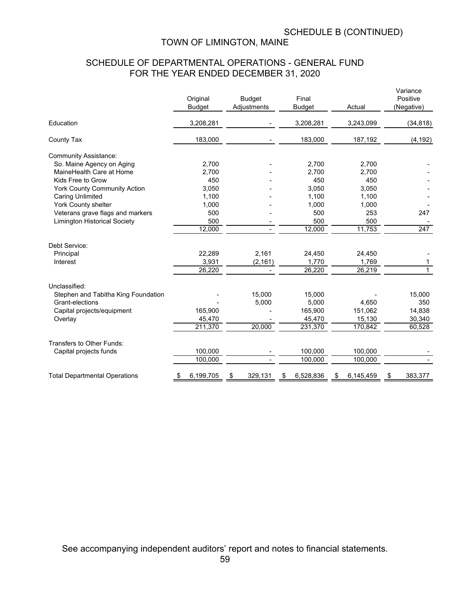# SCHEDULE OF DEPARTMENTAL OPERATIONS - GENERAL FUND FOR THE YEAR ENDED DECEMBER 31, 2020

|                                      | Original<br><b>Budget</b> | <b>Budget</b><br>Adjustments | Final<br><b>Budget</b> | Actual          | Variance<br>Positive<br>(Negative) |  |  |
|--------------------------------------|---------------------------|------------------------------|------------------------|-----------------|------------------------------------|--|--|
| Education                            | 3,208,281                 |                              | 3,208,281              | 3,243,099       | (34, 818)                          |  |  |
| County Tax                           | 183,000                   |                              | 183,000                | 187,192         | (4, 192)                           |  |  |
| <b>Community Assistance:</b>         |                           |                              |                        |                 |                                    |  |  |
| So. Maine Agency on Aging            | 2,700                     |                              | 2,700                  | 2,700           |                                    |  |  |
| MaineHealth Care at Home             | 2,700                     |                              | 2,700                  | 2,700           |                                    |  |  |
| Kids Free to Grow                    | 450                       |                              | 450                    | 450             |                                    |  |  |
| <b>York County Community Action</b>  | 3,050                     |                              | 3,050                  | 3,050           |                                    |  |  |
| <b>Caring Unlimited</b>              | 1,100                     |                              | 1,100                  | 1,100           |                                    |  |  |
| York County shelter                  | 1,000                     |                              | 1,000                  | 1,000           |                                    |  |  |
| Veterans grave flags and markers     | 500                       |                              | 500                    | 253             | 247                                |  |  |
| <b>Limington Historical Society</b>  | 500                       |                              | 500                    | 500             |                                    |  |  |
|                                      | 12,000                    |                              | 12,000                 | 11,753          | $\overline{247}$                   |  |  |
| Debt Service:                        |                           |                              |                        |                 |                                    |  |  |
| Principal                            | 22.289                    | 2.161                        | 24,450                 | 24,450          |                                    |  |  |
| Interest                             | 3,931                     | (2, 161)                     | 1,770                  | 1,769           | 1                                  |  |  |
|                                      | 26,220                    |                              | 26,220                 | 26,219          | $\overline{1}$                     |  |  |
| Unclassified:                        |                           |                              |                        |                 |                                    |  |  |
| Stephen and Tabitha King Foundation  |                           | 15,000                       | 15,000                 |                 | 15,000                             |  |  |
| Grant-elections                      |                           | 5,000                        | 5,000                  | 4,650           | 350                                |  |  |
| Capital projects/equipment           | 165,900                   |                              | 165,900                | 151,062         | 14,838                             |  |  |
| Overlay                              | 45,470                    |                              | 45,470                 | 15,130          | 30,340                             |  |  |
|                                      | 211,370                   | 20,000                       | 231,370                | 170,842         | 60,528                             |  |  |
| Transfers to Other Funds:            |                           |                              |                        |                 |                                    |  |  |
| Capital projects funds               | 100,000                   |                              | 100,000                | 100,000         |                                    |  |  |
|                                      | 100,000                   |                              | 100,000                | 100,000         |                                    |  |  |
| <b>Total Departmental Operations</b> | 6,199,705<br>\$           | 329,131<br>\$                | 6,528,836<br>\$        | 6,145,459<br>\$ | 383,377<br>\$                      |  |  |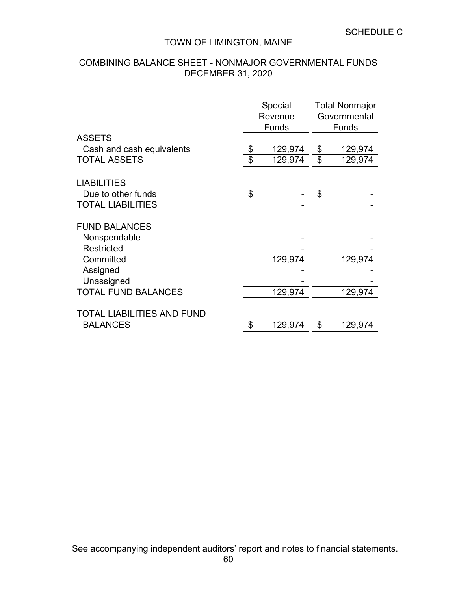# COMBINING BALANCE SHEET - NONMAJOR GOVERNMENTAL FUNDS DECEMBER 31, 2020

|                                      | Special<br>Revenue<br><b>Funds</b> | <b>Total Nonmajor</b><br>Governmental<br>Funds |         |  |  |
|--------------------------------------|------------------------------------|------------------------------------------------|---------|--|--|
| <b>ASSETS</b>                        |                                    |                                                |         |  |  |
| Cash and cash equivalents            | \$<br>129,974                      | \$                                             | 129,974 |  |  |
| <b>TOTAL ASSETS</b>                  | \$<br>129,974                      | \$                                             | 129,974 |  |  |
| <b>LIABILITIES</b>                   |                                    |                                                |         |  |  |
| Due to other funds                   | \$                                 | \$                                             |         |  |  |
| <b>TOTAL LIABILITIES</b>             |                                    |                                                |         |  |  |
| <b>FUND BALANCES</b><br>Nonspendable |                                    |                                                |         |  |  |
| Restricted                           |                                    |                                                |         |  |  |
| Committed                            | 129,974                            |                                                | 129,974 |  |  |
| Assigned                             |                                    |                                                |         |  |  |
| Unassigned                           |                                    |                                                |         |  |  |
| <b>TOTAL FUND BALANCES</b>           | 129,974                            |                                                | 129,974 |  |  |
| TOTAL LIABILITIES AND FUND           |                                    |                                                |         |  |  |
| <b>BALANCES</b>                      | 129,974                            | \$                                             | 129,974 |  |  |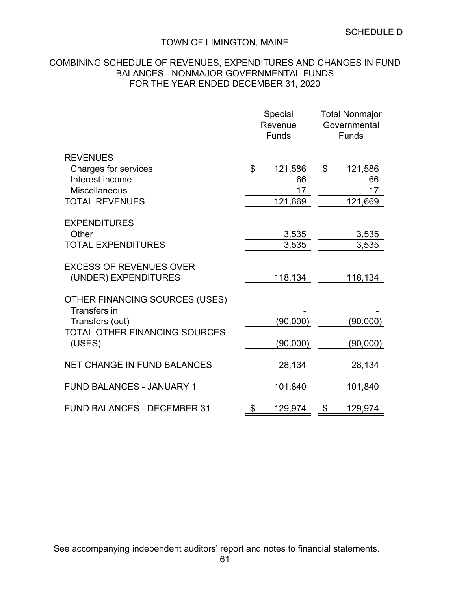## COMBINING SCHEDULE OF REVENUES, EXPENDITURES AND CHANGES IN FUND BALANCES - NONMAJOR GOVERNMENTAL FUNDS FOR THE YEAR ENDED DECEMBER 31, 2020

|                                                                                                                     | Special<br>Revenue<br><b>Funds</b>   | <b>Total Nonmajor</b><br>Governmental<br>Funds |                                |  |  |
|---------------------------------------------------------------------------------------------------------------------|--------------------------------------|------------------------------------------------|--------------------------------|--|--|
| <b>REVENUES</b><br>Charges for services<br>Interest income<br><b>Miscellaneous</b><br><b>TOTAL REVENUES</b>         | \$<br>121,586<br>66<br>17<br>121,669 | \$                                             | 121,586<br>66<br>17<br>121,669 |  |  |
| <b>EXPENDITURES</b><br>Other<br><b>TOTAL EXPENDITURES</b>                                                           | 3,535<br>3,535                       |                                                | 3,535<br>3,535                 |  |  |
| <b>EXCESS OF REVENUES OVER</b><br>(UNDER) EXPENDITURES                                                              | 118,134                              |                                                | 118,134                        |  |  |
| OTHER FINANCING SOURCES (USES)<br>Transfers in<br>Transfers (out)<br><b>TOTAL OTHER FINANCING SOURCES</b><br>(USES) | (90,000)<br>(90,000)                 |                                                | (90,000)<br>(90,000)           |  |  |
| <b>NET CHANGE IN FUND BALANCES</b>                                                                                  | 28,134                               |                                                | 28,134                         |  |  |
| <b>FUND BALANCES - JANUARY 1</b>                                                                                    | 101,840                              |                                                | 101,840                        |  |  |
| <b>FUND BALANCES - DECEMBER 31</b>                                                                                  | \$<br>129,974                        | \$                                             | 129,974                        |  |  |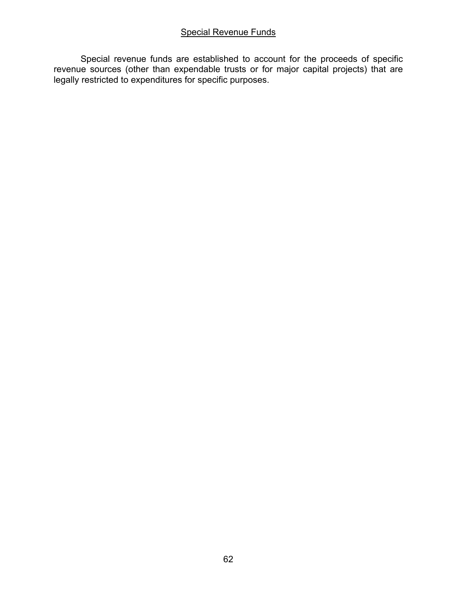## Special Revenue Funds

Special revenue funds are established to account for the proceeds of specific revenue sources (other than expendable trusts or for major capital projects) that are legally restricted to expenditures for specific purposes.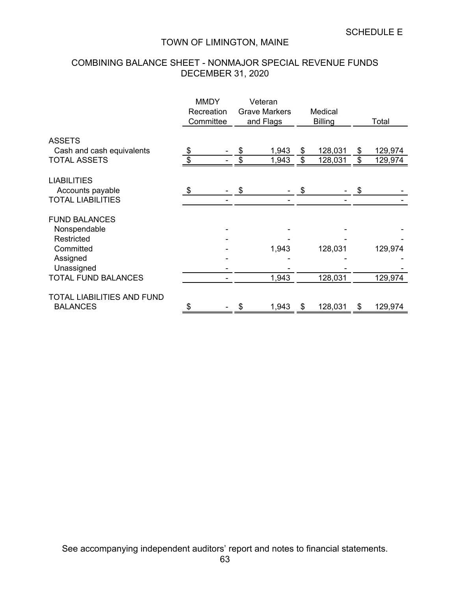# COMBINING BALANCE SHEET - NONMAJOR SPECIAL REVENUE FUNDS DECEMBER 31, 2020

|                                                                                                                         | <b>MMDY</b><br>Recreation<br>Committee    |  | Veteran<br><b>Grave Markers</b><br>and Flags |                |          | Medical<br><b>Billing</b> |          | Total              |
|-------------------------------------------------------------------------------------------------------------------------|-------------------------------------------|--|----------------------------------------------|----------------|----------|---------------------------|----------|--------------------|
| <b>ASSETS</b><br>Cash and cash equivalents<br><b>TOTAL ASSETS</b>                                                       | $\frac{1}{2}$<br>$\overline{\mathcal{L}}$ |  | \$<br>\$                                     | 1,943<br>1,943 | \$<br>\$ | 128,031<br>128,031        | \$<br>\$ | 129,974<br>129,974 |
| <b>LIABILITIES</b><br>Accounts payable<br><b>TOTAL LIABILITIES</b>                                                      | $\sqrt[6]{3}$                             |  | \$                                           |                | \$       |                           | \$       |                    |
| <b>FUND BALANCES</b><br>Nonspendable<br>Restricted<br>Committed<br>Assigned<br>Unassigned<br><b>TOTAL FUND BALANCES</b> |                                           |  |                                              | 1,943<br>1,943 |          | 128,031<br>128,031        |          | 129,974<br>129,974 |
| TOTAL LIABILITIES AND FUND<br><b>BALANCES</b>                                                                           |                                           |  | \$                                           | 1,943          | \$       | 128,031                   | \$       | 129,974            |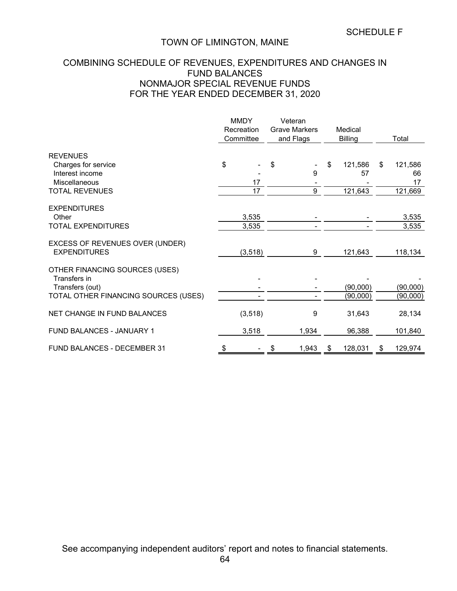## COMBINING SCHEDULE OF REVENUES, EXPENDITURES AND CHANGES IN FUND BALANCES NONMAJOR SPECIAL REVENUE FUNDS FOR THE YEAR ENDED DECEMBER 31, 2020

|                                                                                                           | <b>MMDY</b><br>Recreation<br>Committee | Veteran | <b>Grave Markers</b><br>and Flags |    | Medical<br><b>Billing</b> | Total                                |
|-----------------------------------------------------------------------------------------------------------|----------------------------------------|---------|-----------------------------------|----|---------------------------|--------------------------------------|
| <b>REVENUES</b><br>Charges for service<br>Interest income<br>Miscellaneous<br><b>TOTAL REVENUES</b>       | \$<br>17<br>17                         | \$      | 9<br>9                            | \$ | 121,586<br>57<br>121,643  | \$<br>121,586<br>66<br>17<br>121,669 |
| <b>EXPENDITURES</b><br>Other<br><b>TOTAL EXPENDITURES</b>                                                 | 3,535<br>3,535                         |         |                                   |    |                           | 3,535<br>3,535                       |
| EXCESS OF REVENUES OVER (UNDER)<br><b>EXPENDITURES</b>                                                    | (3, 518)                               |         | 9                                 |    | 121,643                   | 118,134                              |
| OTHER FINANCING SOURCES (USES)<br>Transfers in<br>Transfers (out)<br>TOTAL OTHER FINANCING SOURCES (USES) |                                        |         |                                   |    | (90,000)<br>(90,000)      | (90,000)<br>(90,000)                 |
| NET CHANGE IN FUND BALANCES                                                                               | (3, 518)                               |         | 9                                 |    | 31,643                    | 28,134                               |
| FUND BALANCES - JANUARY 1                                                                                 | 3,518                                  |         | 1,934                             |    | 96,388                    | 101,840                              |
| FUND BALANCES - DECEMBER 31                                                                               | \$                                     |         | 1,943                             | S  | 128,031                   | \$<br>129,974                        |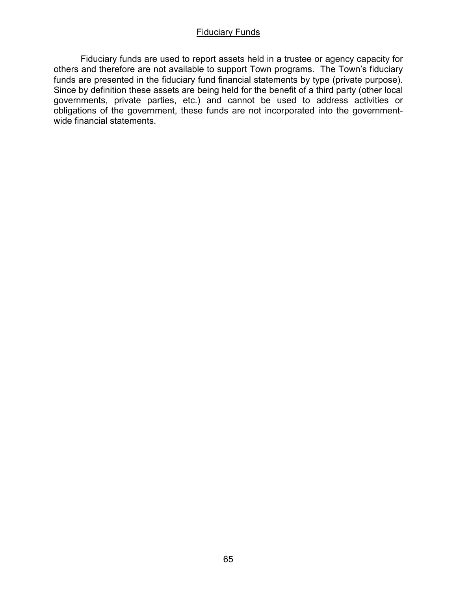## Fiduciary Funds

 Fiduciary funds are used to report assets held in a trustee or agency capacity for others and therefore are not available to support Town programs. The Town's fiduciary funds are presented in the fiduciary fund financial statements by type (private purpose). Since by definition these assets are being held for the benefit of a third party (other local governments, private parties, etc.) and cannot be used to address activities or obligations of the government, these funds are not incorporated into the governmentwide financial statements.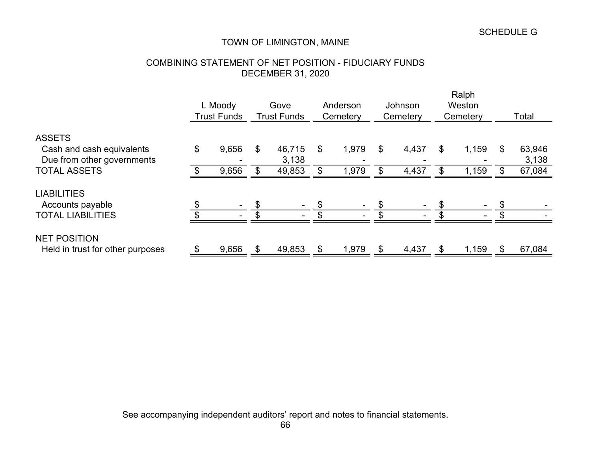## COMBINING STATEMENT OF NET POSITION - FIDUCIARY FUNDS DECEMBER 31, 2020

|                                                         | L Moody<br>Gove<br><b>Trust Funds</b><br><b>Trust Funds</b> |       | Anderson<br>Cemetery | Johnson<br>Cemetery | Ralph<br>Weston<br>Cemetery | Total       |    |        |
|---------------------------------------------------------|-------------------------------------------------------------|-------|----------------------|---------------------|-----------------------------|-------------|----|--------|
| <b>ASSETS</b>                                           | \$                                                          | 9,656 | \$<br>46,715         | \$<br>1,979         | \$<br>4,437                 | \$<br>1,159 | \$ | 63,946 |
| Cash and cash equivalents<br>Due from other governments |                                                             |       | 3,138                |                     |                             |             |    | 3,138  |
| <b>TOTAL ASSETS</b>                                     |                                                             | 9,656 | \$<br>49,853         | 1,979               | \$<br>4,437                 | \$<br>1,159 | S  | 67,084 |
| <b>LIABILITIES</b>                                      |                                                             |       |                      |                     |                             |             |    |        |
| Accounts payable<br><b>TOTAL LIABILITIES</b>            |                                                             |       |                      |                     |                             |             |    |        |
| <b>NET POSITION</b><br>Held in trust for other purposes |                                                             | 9,656 | \$<br>49,853         | \$<br>1,979         | 4,437                       | 1,159       |    | 67,084 |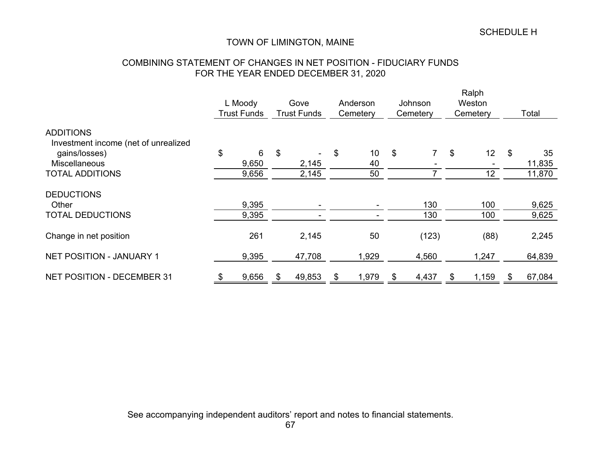#### COMBINING STATEMENT OF CHANGES IN NET POSITION - FIDUCIARY FUNDS FOR THE YEAR ENDED DECEMBER 31, 2020

|                                      |    | L Moody<br><b>Trust Funds</b> |    | Gove<br><b>Trust Funds</b> |    | Anderson<br>Cemetery |    | Johnson<br>Cemetery |    | Ralph<br>Weston<br>Cemetery |    | Total  |
|--------------------------------------|----|-------------------------------|----|----------------------------|----|----------------------|----|---------------------|----|-----------------------------|----|--------|
| <b>ADDITIONS</b>                     |    |                               |    |                            |    |                      |    |                     |    |                             |    |        |
| Investment income (net of unrealized |    |                               |    |                            |    |                      |    |                     |    |                             |    |        |
| gains/losses)                        | \$ | 6                             | \$ |                            | \$ | 10                   | \$ | $7\phantom{.}$      | \$ | 12                          | \$ | 35     |
| <b>Miscellaneous</b>                 |    | 9,650                         |    | 2,145                      |    | 40                   |    |                     |    |                             |    | 11,835 |
| <b>TOTAL ADDITIONS</b>               |    | 9,656                         |    | 2,145                      |    | 50                   |    |                     |    | 12                          |    | 11,870 |
| <b>DEDUCTIONS</b><br>Other           |    | 9,395                         |    |                            |    |                      |    | 130                 |    | 100                         |    | 9,625  |
| <b>TOTAL DEDUCTIONS</b>              |    | 9,395                         |    |                            |    |                      |    | 130                 |    | 100                         |    | 9,625  |
| Change in net position               |    | 261                           |    | 2,145                      |    | 50                   |    | (123)               |    | (88)                        |    | 2,245  |
| <b>NET POSITION - JANUARY 1</b>      |    | 9,395                         |    | 47,708                     |    | 1,929                |    | 4,560               |    | 1,247                       |    | 64,839 |
| <b>NET POSITION - DECEMBER 31</b>    |    | 9,656                         | \$ | 49,853                     | \$ | 1,979                | \$ | 4,437               | \$ | 1,159                       | æ. | 67,084 |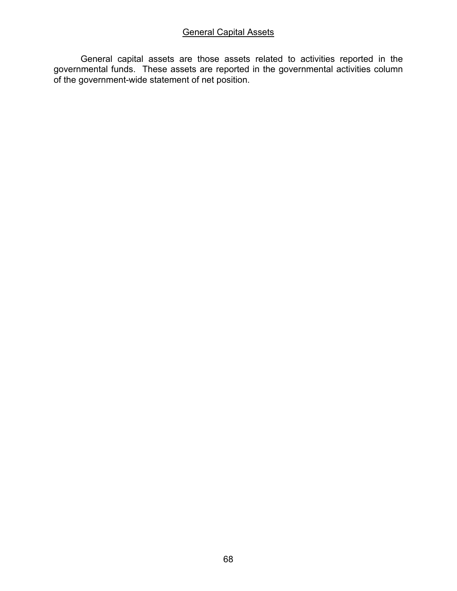## General Capital Assets

General capital assets are those assets related to activities reported in the governmental funds. These assets are reported in the governmental activities column of the government-wide statement of net position.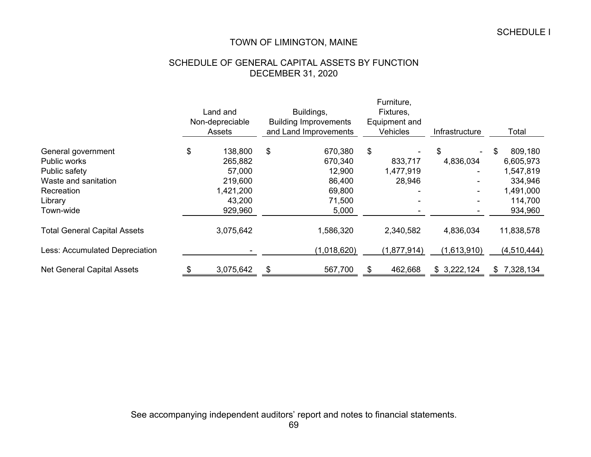# TOWN OF LIMINGTON, MAINE

## SCHEDULE OF GENERAL CAPITAL ASSETS BY FUNCTION DECEMBER 31, 2020

|                                     | Land and<br>Non-depreciable<br>Assets |           | Buildings,<br><b>Building Improvements</b><br>and Land Improvements |             |    | Furniture,<br>Fixtures,<br>Equipment and<br>Vehicles | Infrastructure |                | Total |               |
|-------------------------------------|---------------------------------------|-----------|---------------------------------------------------------------------|-------------|----|------------------------------------------------------|----------------|----------------|-------|---------------|
| General government                  | \$                                    | 138,800   | \$                                                                  | 670,380     | \$ |                                                      | \$             | $\blacksquare$ |       | 809,180       |
| Public works                        |                                       | 265,882   |                                                                     | 670,340     |    | 833,717                                              | 4,836,034      |                |       | 6,605,973     |
| Public safety                       |                                       | 57,000    |                                                                     | 12,900      |    | 1,477,919                                            |                |                |       | 1,547,819     |
| Waste and sanitation                |                                       | 219,600   |                                                                     | 86,400      |    | 28,946                                               |                |                |       | 334,946       |
| Recreation                          |                                       | 1,421,200 |                                                                     | 69,800      |    |                                                      |                |                |       | 1,491,000     |
| Library                             |                                       | 43,200    |                                                                     | 71,500      |    |                                                      |                |                |       | 114,700       |
| Town-wide                           |                                       | 929,960   |                                                                     | 5,000       |    |                                                      |                |                |       | 934,960       |
| <b>Total General Capital Assets</b> |                                       | 3,075,642 |                                                                     | 1,586,320   |    | 2,340,582                                            | 4,836,034      |                |       | 11,838,578    |
| Less: Accumulated Depreciation      |                                       |           |                                                                     | (1,018,620) |    | (1,877,914)                                          | (1,613,910)    |                |       | (4, 510, 444) |
| <b>Net General Capital Assets</b>   |                                       | 3,075,642 |                                                                     | 567,700     |    | 462,668                                              | \$3,222,124    |                | \$    | 7,328,134     |

See accompanying independent auditors' report and notes to financial statements.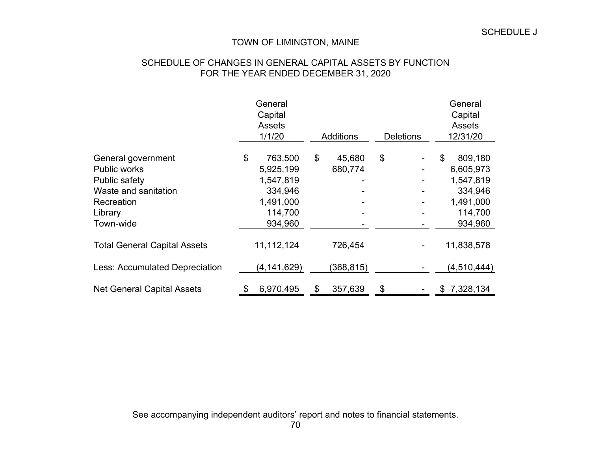# TOWN OF LIMINGTON, MAINE

### SCHEDULE OF CHANGES IN GENERAL CAPITAL ASSETS BY FUNCTION FOR THE YEAR ENDED DECEMBER 31, 2020

|                                       | General<br>Capital<br><b>Assets</b><br>1/1/20 |               |    | <b>Additions</b> | <b>Deletions</b> |  |    | General<br>Capital<br><b>Assets</b><br>12/31/20 |  |  |
|---------------------------------------|-----------------------------------------------|---------------|----|------------------|------------------|--|----|-------------------------------------------------|--|--|
| General government                    | \$                                            | 763,500       | \$ | 45,680           | \$               |  | \$ | 809,180                                         |  |  |
| <b>Public works</b>                   |                                               | 5,925,199     |    | 680,774          |                  |  |    | 6,605,973                                       |  |  |
| Public safety                         |                                               | 1,547,819     |    |                  |                  |  |    | 1,547,819                                       |  |  |
| Waste and sanitation                  |                                               | 334,946       |    |                  |                  |  |    | 334,946                                         |  |  |
| Recreation                            |                                               | 1,491,000     |    |                  |                  |  |    | 1,491,000                                       |  |  |
| Library                               |                                               | 114,700       |    |                  |                  |  |    | 114,700                                         |  |  |
| Town-wide                             |                                               | 934,960       |    |                  |                  |  |    | 934,960                                         |  |  |
| <b>Total General Capital Assets</b>   |                                               | 11,112,124    |    | 726,454          |                  |  |    | 11,838,578                                      |  |  |
| <b>Less: Accumulated Depreciation</b> |                                               | (4, 141, 629) |    | (368, 815)       |                  |  |    | (4, 510, 444)                                   |  |  |
| <b>Net General Capital Assets</b>     | \$                                            | 6,970,495     | \$ | 357,639          | \$               |  | \$ | 7,328,134                                       |  |  |

See accompanying independent auditors' report and notes to financial statements.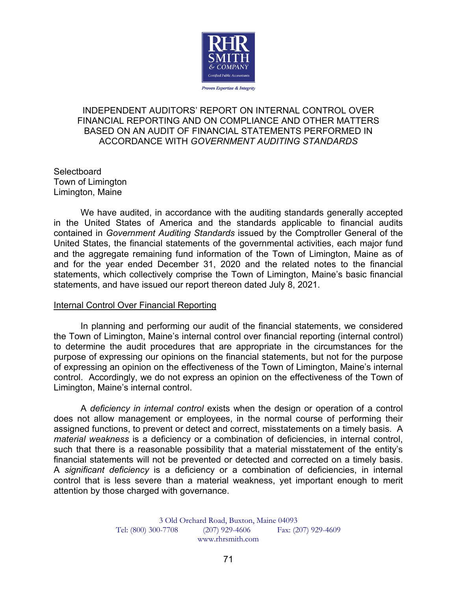

INDEPENDENT AUDITORS' REPORT ON INTERNAL CONTROL OVER FINANCIAL REPORTING AND ON COMPLIANCE AND OTHER MATTERS BASED ON AN AUDIT OF FINANCIAL STATEMENTS PERFORMED IN ACCORDANCE WITH *GOVERNMENT AUDITING STANDARDS* 

**Selectboard** Town of Limington Limington, Maine

 We have audited, in accordance with the auditing standards generally accepted in the United States of America and the standards applicable to financial audits contained in *Government Auditing Standards* issued by the Comptroller General of the United States, the financial statements of the governmental activities, each major fund and the aggregate remaining fund information of the Town of Limington, Maine as of and for the year ended December 31, 2020 and the related notes to the financial statements, which collectively comprise the Town of Limington, Maine's basic financial statements, and have issued our report thereon dated July 8, 2021.

## Internal Control Over Financial Reporting

In planning and performing our audit of the financial statements, we considered the Town of Limington, Maine's internal control over financial reporting (internal control) to determine the audit procedures that are appropriate in the circumstances for the purpose of expressing our opinions on the financial statements, but not for the purpose of expressing an opinion on the effectiveness of the Town of Limington, Maine's internal control. Accordingly, we do not express an opinion on the effectiveness of the Town of Limington, Maine's internal control.

A *deficiency in internal control* exists when the design or operation of a control does not allow management or employees, in the normal course of performing their assigned functions, to prevent or detect and correct, misstatements on a timely basis. A *material weakness* is a deficiency or a combination of deficiencies, in internal control, such that there is a reasonable possibility that a material misstatement of the entity's financial statements will not be prevented or detected and corrected on a timely basis. A *significant deficiency* is a deficiency or a combination of deficiencies, in internal control that is less severe than a material weakness, yet important enough to merit attention by those charged with governance.